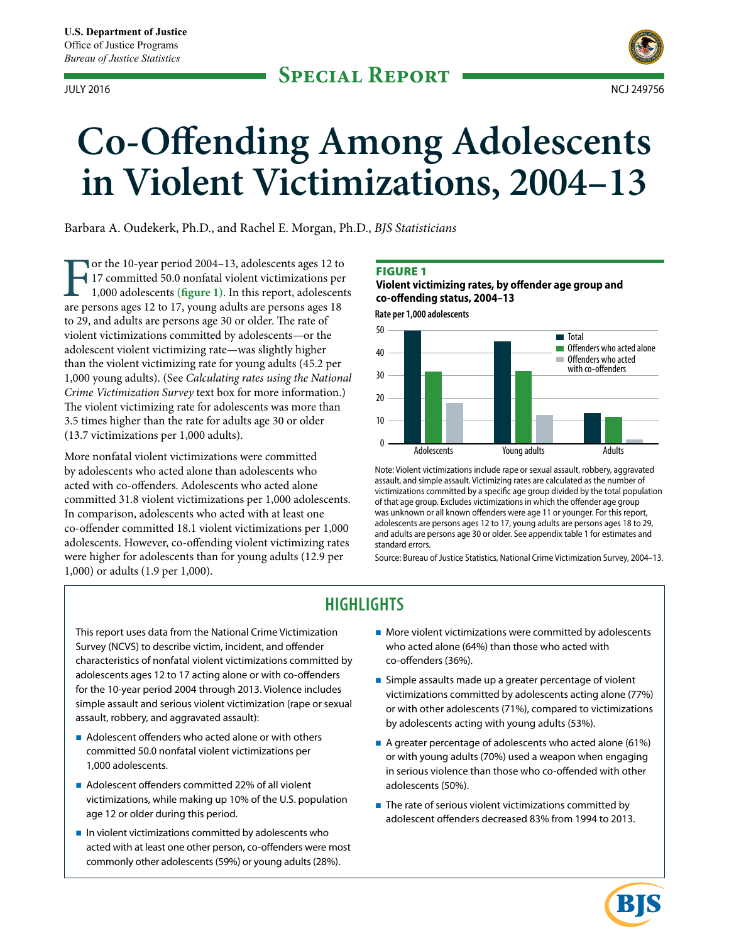

# **Co-Offending Among Adolescents in Violent Victimizations, 2004–13**

Barbara A. Oudekerk, Ph.D., and Rachel E. Morgan, Ph.D., *BJS Statisticians*

For the 10-year period 2004–13, adolescents ages 12 to<br>17 committed 50.0 nonfatal violent victimizations per<br>1,000 adolescents (figure 1). In this report, adolescent<br>are persons ages 12 to 17, young adults are persons ages 17 committed 50.0 nonfatal violent victimizations per 1,000 adolescents **(figure 1)**. In this report, adolescents are persons ages 12 to 17, young adults are persons ages 18 to 29, and adults are persons age 30 or older. The rate of violent victimizations committed by adolescents—or the adolescent violent victimizing rate—was slightly higher than the violent victimizing rate for young adults (45.2 per 1,000 young adults). (See *Calculating rates using the National Crime Victimization Survey* text box for more information.) The violent victimizing rate for adolescents was more than 3.5 times higher than the rate for adults age 30 or older (13.7 victimizations per 1,000 adults).

More nonfatal violent victimizations were committed by adolescents who acted alone than adolescents who acted with co-offenders. Adolescents who acted alone committed 31.8 violent victimizations per 1,000 adolescents. In comparison, adolescents who acted with at least one co-offender committed 18.1 violent victimizations per 1,000 adolescents. However, co-offending violent victimizing rates were higher for adolescents than for young adults (12.9 per 1,000) or adults (1.9 per 1,000).

#### **FIGURE 1**

**Violent victimizing rates, by offender age group and co-offending status, 2004–13**

**Rate per 1,000 adolescents**



Note: Violent victimizations include rape or sexual assault, robbery, aggravated assault, and simple assault. Victimizing rates are calculated as the number of victimizations committed by a specific age group divided by the total population of that age group. Excludes victimizations in which the offender age group was unknown or all known offenders were age 11 or younger. For this report, adolescents are persons ages 12 to 17, young adults are persons ages 18 to 29, and adults are persons age 30 or older. See appendix table 1 for estimates and standard errors.

Source: Bureau of Justice Statistics, National Crime Victimization Survey, 2004–13.

# **HIGHLIGHTS**

This report uses data from the National Crime Victimization Survey (NCVS) to describe victim, incident, and offender characteristics of nonfatal violent victimizations committed by adolescents ages 12 to 17 acting alone or with co-offenders for the 10-year period 2004 through 2013. Violence includes simple assault and serious violent victimization (rape or sexual assault, robbery, and aggravated assault):

- Adolescent offenders who acted alone or with others committed 50.0 nonfatal violent victimizations per 1,000 adolescents.
- Adolescent offenders committed 22% of all violent victimizations, while making up 10% of the U.S. population age 12 or older during this period.
- $\blacksquare$  In violent victimizations committed by adolescents who acted with at least one other person, co-offenders were most commonly other adolescents (59%) or young adults (28%).
- **More violent victimizations were committed by adolescents** who acted alone (64%) than those who acted with co-offenders (36%).
- **Simple assaults made up a greater percentage of violent** victimizations committed by adolescents acting alone (77%) or with other adolescents (71%), compared to victimizations by adolescents acting with young adults (53%).
- A greater percentage of adolescents who acted alone (61%) or with young adults (70%) used a weapon when engaging in serious violence than those who co-offended with other adolescents (50%).

BK

 $\blacksquare$  The rate of serious violent victimizations committed by adolescent offenders decreased 83% from 1994 to 2013.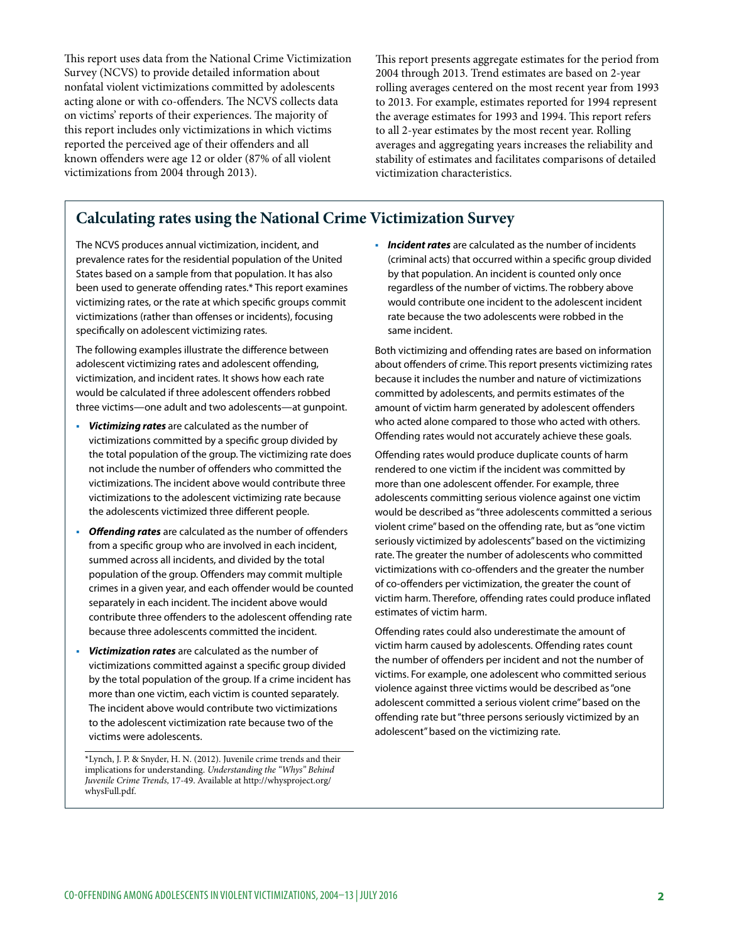This report uses data from the National Crime Victimization Survey (NCVS) to provide detailed information about nonfatal violent victimizations committed by adolescents acting alone or with co-offenders. The NCVS collects data on victims' reports of their experiences. The majority of this report includes only victimizations in which victims reported the perceived age of their offenders and all known offenders were age 12 or older (87% of all violent victimizations from 2004 through 2013).

This report presents aggregate estimates for the period from 2004 through 2013. Trend estimates are based on 2-year rolling averages centered on the most recent year from 1993 to 2013. For example, estimates reported for 1994 represent the average estimates for 1993 and 1994. This report refers to all 2-year estimates by the most recent year. Rolling averages and aggregating years increases the reliability and stability of estimates and facilitates comparisons of detailed victimization characteristics.

# **Calculating rates using the National Crime Victimization Survey**

The NCVS produces annual victimization, incident, and prevalence rates for the residential population of the United States based on a sample from that population. It has also been used to generate offending rates.\* This report examines victimizing rates, or the rate at which specific groups commit victimizations (rather than offenses or incidents), focusing specifically on adolescent victimizing rates.

The following examples illustrate the difference between adolescent victimizing rates and adolescent offending, victimization, and incident rates. It shows how each rate would be calculated if three adolescent offenders robbed three victims—one adult and two adolescents—at gunpoint.

- *Victimizing rates* are calculated as the number of victimizations committed by a specific group divided by the total population of the group. The victimizing rate does not include the number of offenders who committed the victimizations. The incident above would contribute three victimizations to the adolescent victimizing rate because the adolescents victimized three different people.
- *Offending rates* are calculated as the number of offenders from a specific group who are involved in each incident, summed across all incidents, and divided by the total population of the group. Offenders may commit multiple crimes in a given year, and each offender would be counted separately in each incident. The incident above would contribute three offenders to the adolescent offending rate because three adolescents committed the incident.
- *Victimization rates* are calculated as the number of victimizations committed against a specific group divided by the total population of the group. If a crime incident has more than one victim, each victim is counted separately. The incident above would contribute two victimizations to the adolescent victimization rate because two of the victims were adolescents.

 *Incident rates* are calculated as the number of incidents (criminal acts) that occurred within a specific group divided by that population. An incident is counted only once regardless of the number of victims. The robbery above would contribute one incident to the adolescent incident rate because the two adolescents were robbed in the same incident.

Both victimizing and offending rates are based on information about offenders of crime. This report presents victimizing rates because it includes the number and nature of victimizations committed by adolescents, and permits estimates of the amount of victim harm generated by adolescent offenders who acted alone compared to those who acted with others. Offending rates would not accurately achieve these goals.

Offending rates would produce duplicate counts of harm rendered to one victim if the incident was committed by more than one adolescent offender. For example, three adolescents committing serious violence against one victim would be described as "three adolescents committed a serious violent crime" based on the offending rate, but as "one victim seriously victimized by adolescents" based on the victimizing rate. The greater the number of adolescents who committed victimizations with co-offenders and the greater the number of co-offenders per victimization, the greater the count of victim harm. Therefore, offending rates could produce inflated estimates of victim harm.

Offending rates could also underestimate the amount of victim harm caused by adolescents. Offending rates count the number of offenders per incident and not the number of victims. For example, one adolescent who committed serious violence against three victims would be described as "one adolescent committed a serious violent crime" based on the offending rate but "three persons seriously victimized by an adolescent" based on the victimizing rate.

<sup>\*</sup>Lynch, J. P. & Snyder, H. N. (2012). Juvenile crime trends and their implications for understanding. *Understanding the "Whys" Behind Juvenile Crime Trends,* 17-49. Available at http://whysproject.org/ whysFull.pdf.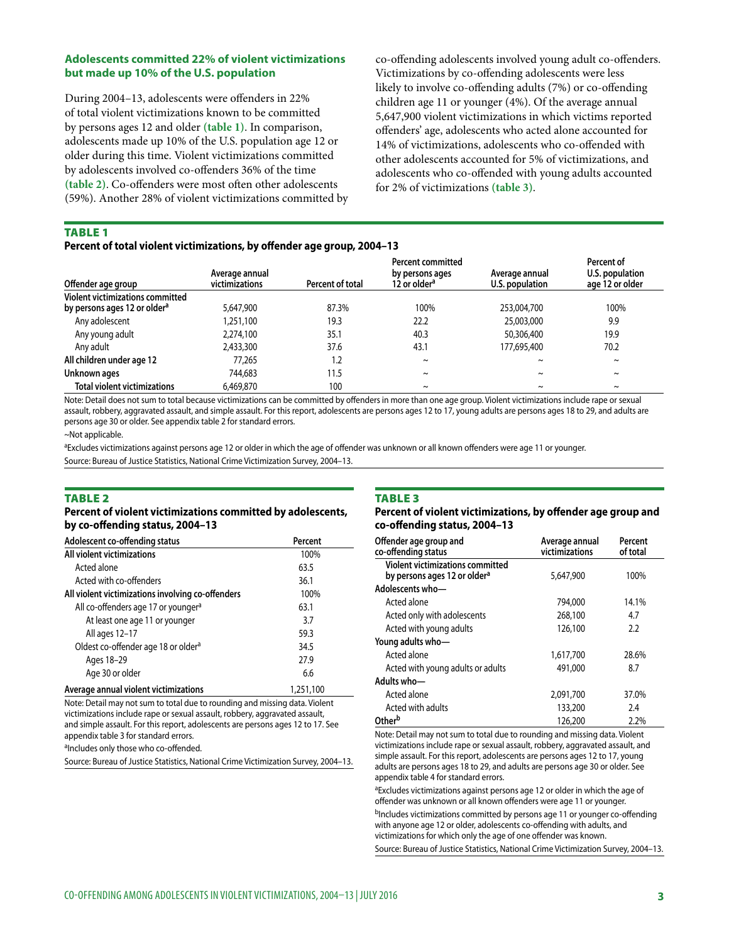# **Adolescents committed 22% of violent victimizations but made up 10% of the U.S. population**

During 2004–13, adolescents were offenders in 22% of total violent victimizations known to be committed by persons ages 12 and older **(table 1)**. In comparison, adolescents made up 10% of the U.S. population age 12 or older during this time. Violent victimizations committed by adolescents involved co-offenders 36% of the time **(table 2)**. Co-offenders were most often other adolescents (59%). Another 28% of violent victimizations committed by

co-offending adolescents involved young adult co-offenders. Victimizations by co-offending adolescents were less likely to involve co-offending adults (7%) or co-offending children age 11 or younger (4%). Of the average annual 5,647,900 violent victimizations in which victims reported offenders' age, adolescents who acted alone accounted for 14% of victimizations, adolescents who co-offended with other adolescents accounted for 5% of victimizations, and adolescents who co-offended with young adults accounted for 2% of victimizations **(table 3)**.

#### **TABLE 1**

#### **Percent of total violent victimizations, by offender age group, 2004–13**

| Offender age group                                                           | Average annual<br>victimizations | Percent of total | Percent committed<br>by persons ages<br>12 or older <sup>a</sup> | Average annual<br>U.S. population | Percent of<br>U.S. population<br>age 12 or older |
|------------------------------------------------------------------------------|----------------------------------|------------------|------------------------------------------------------------------|-----------------------------------|--------------------------------------------------|
| Violent victimizations committed<br>by persons ages 12 or older <sup>a</sup> | 5,647,900                        | 87.3%            | 100%                                                             | 253,004,700                       | 100%                                             |
| Any adolescent                                                               | 1,251,100                        | 19.3             | 22.2                                                             | 25,003,000                        | 9.9                                              |
| Any young adult                                                              | 2,274,100                        | 35.1             | 40.3                                                             | 50,306,400                        | 19.9                                             |
| Any adult                                                                    | 2,433,300                        | 37.6             | 43.1                                                             | 177,695,400                       | 70.2                                             |
| All children under age 12                                                    | 77.265                           | 1.2              | $\sim$                                                           | $\sim$                            | $\sim$                                           |
| Unknown ages                                                                 | 744,683                          | 11.5             | $\sim$                                                           | $\sim$                            | $\sim$                                           |
| <b>Total violent victimizations</b>                                          | 6,469,870                        | 100              | $\tilde{}$                                                       | $\tilde{}$                        | $\tilde{}$                                       |

Note: Detail does not sum to total because victimizations can be committed by offenders in more than one age group. Violent victimizations include rape or sexual assault, robbery, aggravated assault, and simple assault. For this report, adolescents are persons ages 12 to 17, young adults are persons ages 18 to 29, and adults are persons age 30 or older. See appendix table 2 for standard errors.

~Not applicable.

aExcludes victimizations against persons age 12 or older in which the age of offender was unknown or all known offenders were age 11 or younger.

Source: Bureau of Justice Statistics, National Crime Victimization Survey, 2004–13.

#### **TABLE 2**

#### **Percent of violent victimizations committed by adolescents, by co-offending status, 2004–13**

| Adolescent co-offending status                    | Percent   |
|---------------------------------------------------|-----------|
| All violent victimizations                        | 100%      |
| Acted alone                                       | 63.5      |
| Acted with co-offenders                           | 36.1      |
| All violent victimizations involving co-offenders | 100%      |
| All co-offenders age 17 or younger <sup>a</sup>   | 63.1      |
| At least one age 11 or younger                    | 3.7       |
| All ages 12-17                                    | 59.3      |
| Oldest co-offender age 18 or older <sup>a</sup>   | 34.5      |
| Ages 18-29                                        | 27.9      |
| Age 30 or older                                   | 6.6       |
| Average annual violent victimizations             | 1,251,100 |

Note: Detail may not sum to total due to rounding and missing data. Violent victimizations include rape or sexual assault, robbery, aggravated assault, and simple assault. For this report, adolescents are persons ages 12 to 17. See appendix table 3 for standard errors.

aIncludes only those who co-offended.

Source: Bureau of Justice Statistics, National Crime Victimization Survey, 2004–13.

#### **TABLE 3**

#### **Percent of violent victimizations, by offender age group and co-offending status, 2004–13**

| Offender age group and<br>co-offending status                                       | Average annual<br>victimizations | Percent<br>of total |  |
|-------------------------------------------------------------------------------------|----------------------------------|---------------------|--|
| <b>Violent victimizations committed</b><br>by persons ages 12 or older <sup>a</sup> | 5,647,900                        | 100%                |  |
| Adolescents who-                                                                    |                                  |                     |  |
| Acted alone                                                                         | 794,000                          | 14.1%               |  |
| Acted only with adolescents                                                         | 268,100                          | 4.7                 |  |
| Acted with young adults                                                             | 126,100                          | 2.2                 |  |
| Young adults who-                                                                   |                                  |                     |  |
| Acted alone                                                                         | 1,617,700                        | 28.6%               |  |
| Acted with young adults or adults                                                   | 491,000                          | 8.7                 |  |
| Adults who-                                                                         |                                  |                     |  |
| Acted alone                                                                         | 2,091,700                        | 37.0%               |  |
| Acted with adults                                                                   | 133,200                          | 2.4                 |  |
| Otherb                                                                              | 126,200                          | 2.2%                |  |

Note: Detail may not sum to total due to rounding and missing data. Violent victimizations include rape or sexual assault, robbery, aggravated assault, and simple assault. For this report, adolescents are persons ages 12 to 17, young adults are persons ages 18 to 29, and adults are persons age 30 or older. See appendix table 4 for standard errors.

aExcludes victimizations against persons age 12 or older in which the age of offender was unknown or all known offenders were age 11 or younger. bIncludes victimizations committed by persons age 11 or younger co-offending with anyone age 12 or older, adolescents co-offending with adults, and victimizations for which only the age of one offender was known. Source: Bureau of Justice Statistics, National Crime Victimization Survey, 2004–13.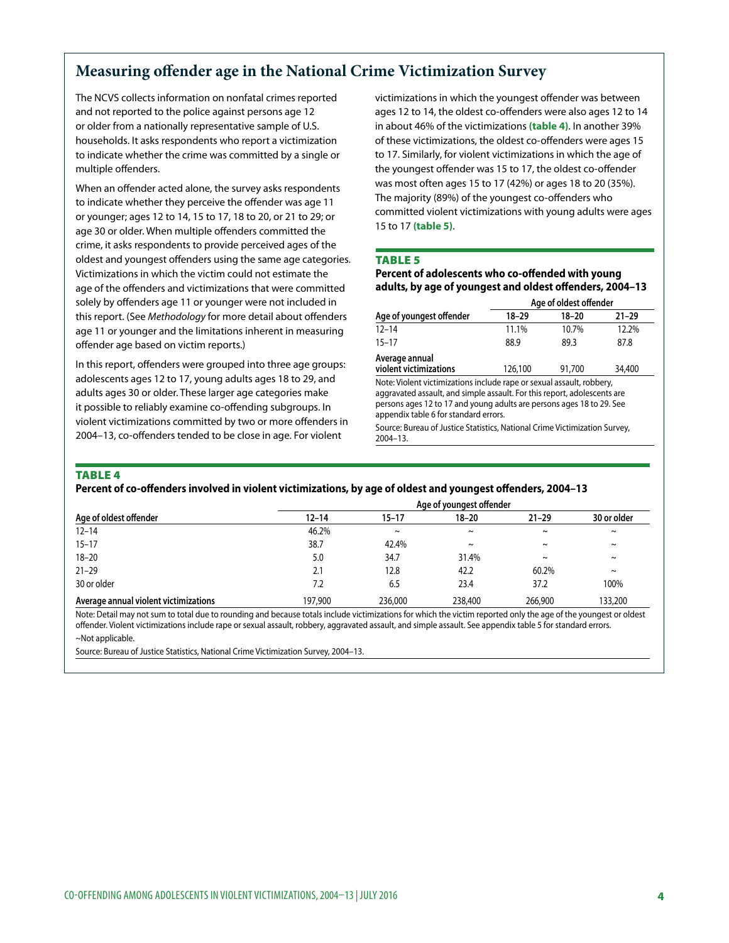# **Measuring offender age in the National Crime Victimization Survey**

The NCVS collects information on nonfatal crimes reported and not reported to the police against persons age 12 or older from a nationally representative sample of U.S. households. It asks respondents who report a victimization to indicate whether the crime was committed by a single or multiple offenders.

When an offender acted alone, the survey asks respondents to indicate whether they perceive the offender was age 11 or younger; ages 12 to 14, 15 to 17, 18 to 20, or 21 to 29; or age 30 or older. When multiple offenders committed the crime, it asks respondents to provide perceived ages of the oldest and youngest offenders using the same age categories. Victimizations in which the victim could not estimate the age of the offenders and victimizations that were committed solely by offenders age 11 or younger were not included in this report. (See *Methodology* for more detail about offenders age 11 or younger and the limitations inherent in measuring offender age based on victim reports.)

In this report, offenders were grouped into three age groups: adolescents ages 12 to 17, young adults ages 18 to 29, and adults ages 30 or older. These larger age categories make it possible to reliably examine co-offending subgroups. In violent victimizations committed by two or more offenders in 2004–13, co-offenders tended to be close in age. For violent

victimizations in which the youngest offender was between ages 12 to 14, the oldest co-offenders were also ages 12 to 14 in about 46% of the victimizations **(table 4)**. In another 39% of these victimizations, the oldest co-offenders were ages 15 to 17. Similarly, for violent victimizations in which the age of the youngest offender was 15 to 17, the oldest co-offender was most often ages 15 to 17 (42%) or ages 18 to 20 (35%). The majority (89%) of the youngest co-offenders who committed violent victimizations with young adults were ages 15 to 17 **(table 5)**.

#### **TABLE 5**

## **Percent of adolescents who co-offended with young adults, by age of youngest and oldest offenders, 2004–13**

|                                          | Age of oldest offender |        |           |  |
|------------------------------------------|------------------------|--------|-----------|--|
| Age of youngest offender                 | 18-29                  | 18-20  | $21 - 29$ |  |
| $12 - 14$                                | 11.1%                  | 10.7%  | 12.2%     |  |
| $15 - 17$                                | 88.9                   | 89.3   | 87.8      |  |
| Average annual<br>violent victimizations | 126,100                | 91.700 | 34,400    |  |

Note: Violent victimizations include rape or sexual assault, robbery, aggravated assault, and simple assault. For this report, adolescents are persons ages 12 to 17 and young adults are persons ages 18 to 29. See appendix table 6 for standard errors.

Source: Bureau of Justice Statistics, National Crime Victimization Survey, 2004–13.

#### **TABLE 4**

#### **Percent of co-offenders involved in violent victimizations, by age of oldest and youngest offenders, 2004–13**

|                                       |           |           | Age of youngest offender |                       |                       |
|---------------------------------------|-----------|-----------|--------------------------|-----------------------|-----------------------|
| Age of oldest offender                | $12 - 14$ | $15 - 17$ | $18 - 20$                | $21 - 29$             | 30 or older           |
| $12 - 14$                             | 46.2%     | $\sim$    | $\sim$                   | $\sim$                | $\sim$                |
| $15 - 17$                             | 38.7      | 42.4%     | $\tilde{}$               | $\tilde{\phantom{a}}$ | $\sim$                |
| $18 - 20$                             | 5.0       | 34.7      | 31.4%                    | $\sim$                | $\tilde{\phantom{a}}$ |
| $21 - 29$                             | 2.1       | 12.8      | 42.2                     | 60.2%                 | $\tilde{}$            |
| 30 or older                           | 7.2       | 6.5       | 23.4                     | 37.2                  | 100%                  |
| Average annual violent victimizations | 197,900   | 236,000   | 238,400                  | 266,900               | 133,200               |

Note: Detail may not sum to total due to rounding and because totals include victimizations for which the victim reported only the age of the youngest or oldest offender. Violent victimizations include rape or sexual assault, robbery, aggravated assault, and simple assault. See appendix table 5 for standard errors. ~Not applicable.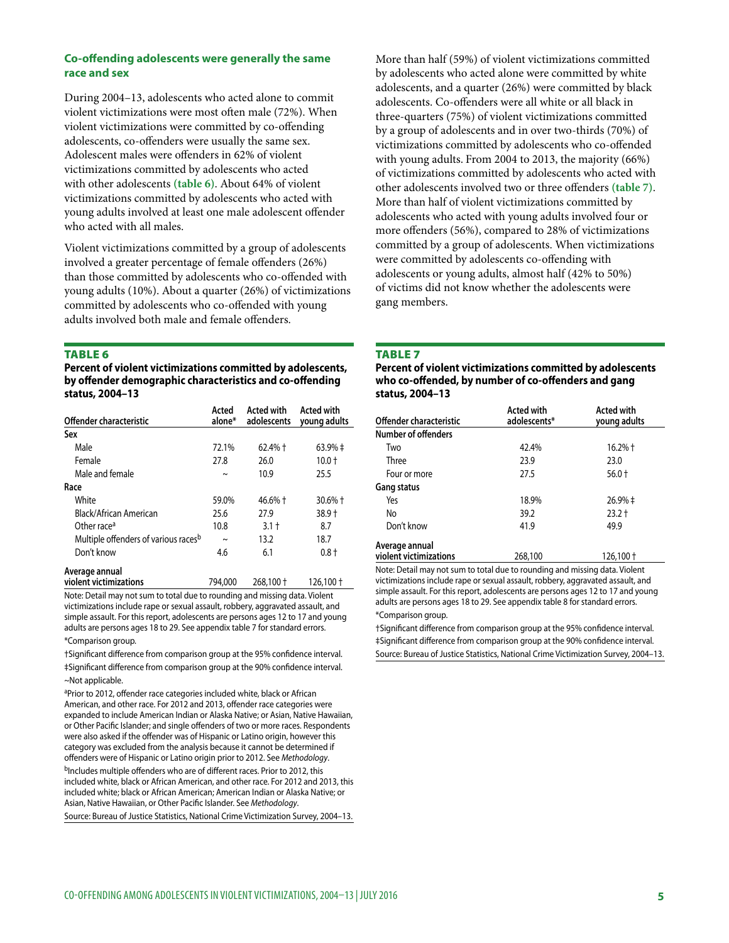# **Co-offending adolescents were generally the same race and sex**

During 2004–13, adolescents who acted alone to commit violent victimizations were most often male (72%). When violent victimizations were committed by co-offending adolescents, co-offenders were usually the same sex. Adolescent males were offenders in 62% of violent victimizations committed by adolescents who acted with other adolescents **(table 6)**. About 64% of violent victimizations committed by adolescents who acted with young adults involved at least one male adolescent offender who acted with all males.

Violent victimizations committed by a group of adolescents involved a greater percentage of female offenders (26%) than those committed by adolescents who co-offended with young adults (10%). About a quarter (26%) of victimizations committed by adolescents who co-offended with young adults involved both male and female offenders.

#### **TABLE 6**

**Percent of violent victimizations committed by adolescents, by offender demographic characteristics and co-offending status, 2004–13**

| Offender characteristic                          | Acted<br>alone* | <b>Acted with</b><br>adolescents | <b>Acted with</b><br>young adults |
|--------------------------------------------------|-----------------|----------------------------------|-----------------------------------|
| Sex                                              |                 |                                  |                                   |
| Male                                             | 72.1%           | $62.4%$ +                        | 63.9% ‡                           |
| Female                                           | 27.8            | 26.0                             | $10.0 +$                          |
| Male and female                                  | $\sim$          | 10.9                             | 25.5                              |
| Race                                             |                 |                                  |                                   |
| White                                            | 59.0%           | $46.6\% +$                       | $30.6%$ †                         |
| Black/African American                           | 25.6            | 27.9                             | $38.9 +$                          |
| Other race <sup>a</sup>                          | 10.8            | $3.1 +$                          | 8.7                               |
| Multiple offenders of various races <sup>b</sup> | $\sim$          | 13.2                             | 18.7                              |
| Don't know                                       | 4.6             | 6.1                              | $0.8 +$                           |
| Average annual                                   |                 |                                  |                                   |
| violent victimizations                           | 794,000         | 268,100 +                        | 126,100†                          |

Note: Detail may not sum to total due to rounding and missing data. Violent victimizations include rape or sexual assault, robbery, aggravated assault, and simple assault. For this report, adolescents are persons ages 12 to 17 and young adults are persons ages 18 to 29. See appendix table 7 for standard errors. \*Comparison group.

†Significant difference from comparison group at the 95% confidence interval. ‡Significant difference from comparison group at the 90% confidence interval. ~Not applicable.

aPrior to 2012, offender race categories included white, black or African American, and other race. For 2012 and 2013, offender race categories were expanded to include American Indian or Alaska Native; or Asian, Native Hawaiian, or Other Pacific Islander; and single offenders of two or more races. Respondents were also asked if the offender was of Hispanic or Latino origin, however this category was excluded from the analysis because it cannot be determined if offenders were of Hispanic or Latino origin prior to 2012. See *Methodology*.

<sup>b</sup>Includes multiple offenders who are of different races. Prior to 2012, this included white, black or African American, and other race. For 2012 and 2013, this included white; black or African American; American Indian or Alaska Native; or Asian, Native Hawaiian, or Other Pacific Islander. See *Methodology*. Source: Bureau of Justice Statistics, National Crime Victimization Survey, 2004–13.

More than half (59%) of violent victimizations committed by adolescents who acted alone were committed by white adolescents, and a quarter (26%) were committed by black adolescents. Co-offenders were all white or all black in three-quarters (75%) of violent victimizations committed by a group of adolescents and in over two-thirds (70%) of victimizations committed by adolescents who co-offended with young adults. From 2004 to 2013, the majority (66%) of victimizations committed by adolescents who acted with other adolescents involved two or three offenders **(table 7)**. More than half of violent victimizations committed by adolescents who acted with young adults involved four or more offenders (56%), compared to 28% of victimizations committed by a group of adolescents. When victimizations were committed by adolescents co-offending with adolescents or young adults, almost half (42% to 50%) of victims did not know whether the adolescents were gang members.

# Table 7

**Percent of violent victimizations committed by adolescents who co-offended, by number of co-offenders and gang status, 2004–13**

| Offender characteristic                  | <b>Acted with</b><br>adolescents* | <b>Acted with</b><br>young adults |
|------------------------------------------|-----------------------------------|-----------------------------------|
| Number of offenders                      |                                   |                                   |
| Two                                      | 42.4%                             | $16.2%$ †                         |
| Three                                    | 23.9                              | 23.0                              |
| Four or more                             | 27.5                              | $56.0 +$                          |
| Gang status                              |                                   |                                   |
| Yes                                      | 18.9%                             | 26.9% ‡                           |
| No                                       | 39.2                              | $23.2 +$                          |
| Don't know                               | 41.9                              | 49.9                              |
| Average annual<br>violent victimizations | 268,100                           | $126,100 +$                       |

Note: Detail may not sum to total due to rounding and missing data. Violent victimizations include rape or sexual assault, robbery, aggravated assault, and simple assault. For this report, adolescents are persons ages 12 to 17 and young adults are persons ages 18 to 29. See appendix table 8 for standard errors. \*Comparison group.

†Significant difference from comparison group at the 95% confidence interval. ‡Significant difference from comparison group at the 90% confidence interval. Source: Bureau of Justice Statistics, National Crime Victimization Survey, 2004–13.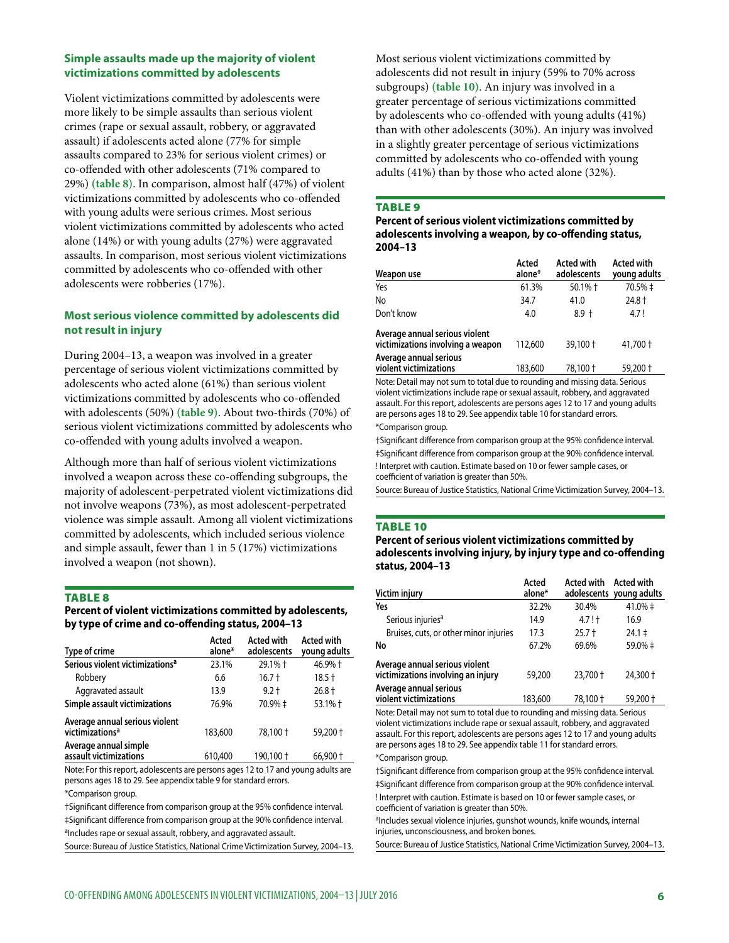# **Simple assaults made up the majority of violent victimizations committed by adolescents**

Violent victimizations committed by adolescents were more likely to be simple assaults than serious violent crimes (rape or sexual assault, robbery, or aggravated assault) if adolescents acted alone (77% for simple assaults compared to 23% for serious violent crimes) or co-offended with other adolescents (71% compared to 29%) **(table 8)**. In comparison, almost half (47%) of violent victimizations committed by adolescents who co-offended with young adults were serious crimes. Most serious violent victimizations committed by adolescents who acted alone (14%) or with young adults (27%) were aggravated assaults. In comparison, most serious violent victimizations committed by adolescents who co-offended with other adolescents were robberies (17%).

# **Most serious violence committed by adolescents did not result in injury**

During 2004–13, a weapon was involved in a greater percentage of serious violent victimizations committed by adolescents who acted alone (61%) than serious violent victimizations committed by adolescents who co-offended with adolescents (50%) **(table 9)**. About two-thirds (70%) of serious violent victimizations committed by adolescents who co-offended with young adults involved a weapon.

Although more than half of serious violent victimizations involved a weapon across these co-offending subgroups, the majority of adolescent-perpetrated violent victimizations did not involve weapons (73%), as most adolescent-perpetrated violence was simple assault. Among all violent victimizations committed by adolescents, which included serious violence and simple assault, fewer than 1 in 5 (17%) victimizations involved a weapon (not shown).

#### **TABLE 8**

# **Percent of violent victimizations committed by adolescents, by type of crime and co-offending status, 2004–13**

| Type of crime                                                 | Acted<br>alone* | <b>Acted with</b><br>adolescents | <b>Acted with</b><br>young adults |
|---------------------------------------------------------------|-----------------|----------------------------------|-----------------------------------|
| Serious violent victimizations <sup>a</sup>                   | 23.1%           | 29.1% +                          | 46.9% +                           |
| Robbery                                                       | 6.6             | $16.7 +$                         | $18.5 +$                          |
| Aggravated assault                                            | 13.9            | $9.2 +$                          | $26.8 +$                          |
| Simple assault victimizations                                 | 76.9%           | 70.9% ‡                          | 53.1% +                           |
| Average annual serious violent<br>victimizations <sup>a</sup> | 183,600         | 78.100 +                         | 59,200 +                          |
| Average annual simple<br>assault victimizations               | 610,400         | 190,100 +                        | 66,900 +                          |

Note: For this report, adolescents are persons ages 12 to 17 and young adults are persons ages 18 to 29. See appendix table 9 for standard errors.

\*Comparison group.

†Significant difference from comparison group at the 95% confidence interval. ‡Significant difference from comparison group at the 90% confidence interval. aIncludes rape or sexual assault, robbery, and aggravated assault. Source: Bureau of Justice Statistics, National Crime Victimization Survey, 2004–13. Most serious violent victimizations committed by adolescents did not result in injury (59% to 70% across subgroups) **(table 10)**. An injury was involved in a greater percentage of serious victimizations committed by adolescents who co-offended with young adults (41%) than with other adolescents (30%). An injury was involved in a slightly greater percentage of serious victimizations committed by adolescents who co-offended with young adults (41%) than by those who acted alone (32%).

#### TABLE<sub>9</sub>

## **Percent of serious violent victimizations committed by adolescents involving a weapon, by co-offending status, 2004–13**

| Weapon use                                                          | Acted<br>alone* | <b>Acted with</b><br>adolescents | <b>Acted with</b><br>young adults |
|---------------------------------------------------------------------|-----------------|----------------------------------|-----------------------------------|
| Yes                                                                 | 61.3%           | $50.1%$ †                        | 70.5% ‡                           |
| No                                                                  | 34.7            | 41.0                             | $24.8 +$                          |
| Don't know                                                          | 4.0             | $8.9 +$                          | 4.7!                              |
| Average annual serious violent<br>victimizations involving a weapon | 112,600         | 39,100 +                         | 41,700 +                          |
| Average annual serious<br>violent victimizations                    | 183,600         | 78,100 +                         | 59,200 +                          |

Note: Detail may not sum to total due to rounding and missing data. Serious violent victimizations include rape or sexual assault, robbery, and aggravated assault. For this report, adolescents are persons ages 12 to 17 and young adults are persons ages 18 to 29. See appendix table 10 for standard errors. \*Comparison group.

†Significant difference from comparison group at the 95% confidence interval. ‡Significant difference from comparison group at the 90% confidence interval. ! Interpret with caution. Estimate based on 10 or fewer sample cases, or coefficient of variation is greater than 50%.

Source: Bureau of Justice Statistics, National Crime Victimization Survey, 2004–13.

#### TABLE 10

## **Percent of serious violent victimizations committed by adolescents involving injury, by injury type and co-offending status, 2004–13**

| Victim injury                                                        | Acted<br>alone* | Acted with | Acted with<br>adolescents young adults |
|----------------------------------------------------------------------|-----------------|------------|----------------------------------------|
| Yes                                                                  | 32.2%           | 30.4%      | 41.0% ‡                                |
| Serious injuries <sup>a</sup>                                        | 14.9            | 4.7!       | 16.9                                   |
| Bruises, cuts, or other minor injuries                               | 17.3            | $25.7 +$   | $24.1 \pm$                             |
| No                                                                   | 67.2%           | 69.6%      | 59.0% ‡                                |
| Average annual serious violent<br>victimizations involving an injury | 59,200          | 23,700 +   | $24.300 +$                             |
| Average annual serious<br>violent victimizations                     | 183,600         | 78,100 +   | $59.200 +$                             |

Note: Detail may not sum to total due to rounding and missing data. Serious violent victimizations include rape or sexual assault, robbery, and aggravated assault. For this report, adolescents are persons ages 12 to 17 and young adults are persons ages 18 to 29. See appendix table 11 for standard errors. \*Comparison group.

†Significant difference from comparison group at the 95% confidence interval. ‡Significant difference from comparison group at the 90% confidence interval. ! Interpret with caution. Estimate is based on 10 or fewer sample cases, or coefficient of variation is greater than 50%.

aIncludes sexual violence injuries, gunshot wounds, knife wounds, internal injuries, unconsciousness, and broken bones.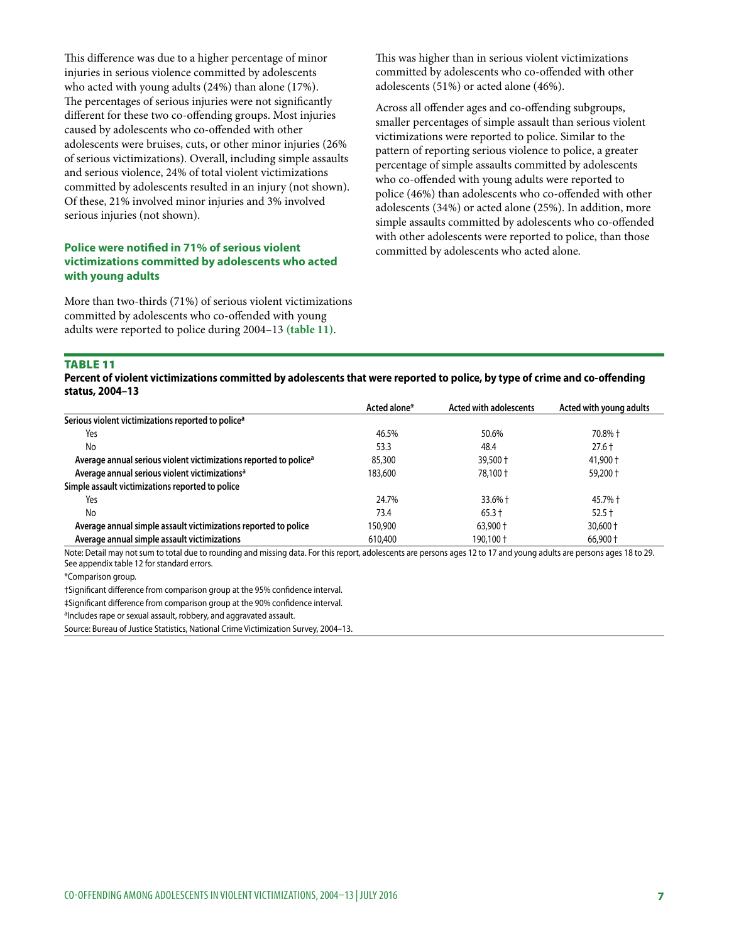This difference was due to a higher percentage of minor injuries in serious violence committed by adolescents who acted with young adults (24%) than alone (17%). The percentages of serious injuries were not significantly different for these two co-offending groups. Most injuries caused by adolescents who co-offended with other adolescents were bruises, cuts, or other minor injuries (26% of serious victimizations). Overall, including simple assaults and serious violence, 24% of total violent victimizations committed by adolescents resulted in an injury (not shown). Of these, 21% involved minor injuries and 3% involved serious injuries (not shown).

# **Police were notified in 71% of serious violent victimizations committed by adolescents who acted with young adults**

More than two-thirds (71%) of serious violent victimizations committed by adolescents who co-offended with young adults were reported to police during 2004–13 **(table 11)**.

This was higher than in serious violent victimizations committed by adolescents who co-offended with other adolescents (51%) or acted alone (46%).

Across all offender ages and co-offending subgroups, smaller percentages of simple assault than serious violent victimizations were reported to police. Similar to the pattern of reporting serious violence to police, a greater percentage of simple assaults committed by adolescents who co-offended with young adults were reported to police (46%) than adolescents who co-offended with other adolescents (34%) or acted alone (25%). In addition, more simple assaults committed by adolescents who co-offended with other adolescents were reported to police, than those committed by adolescents who acted alone.

#### Table 11

**Percent of violent victimizations committed by adolescents that were reported to police, by type of crime and co-offending status, 2004–13**

|                                                                               | Acted alone* | Acted with adolescents | Acted with young adults |
|-------------------------------------------------------------------------------|--------------|------------------------|-------------------------|
| Serious violent victimizations reported to police <sup>a</sup>                |              |                        |                         |
| Yes                                                                           | 46.5%        | 50.6%                  | 70.8% +                 |
| No                                                                            | 53.3         | 48.4                   | $27.6 +$                |
| Average annual serious violent victimizations reported to police <sup>a</sup> | 85,300       | $39,500 +$             | 41,900 +                |
| Average annual serious violent victimizations <sup>a</sup>                    | 183,600      | 78,100 +               | $59,200 +$              |
| Simple assault victimizations reported to police                              |              |                        |                         |
| Yes                                                                           | 24.7%        | $33.6\% +$             | 45.7% †                 |
| No                                                                            | 73.4         | $65.3 +$               | $52.5 +$                |
| Average annual simple assault victimizations reported to police               | 150,900      | $63.900 +$             | $30,600 +$              |
| Average annual simple assault victimizations                                  | 610,400      | 190.100 +              | $66.900 +$              |

Note: Detail may not sum to total due to rounding and missing data. For this report, adolescents are persons ages 12 to 17 and young adults are persons ages 18 to 29. See appendix table 12 for standard errors.

\*Comparison group.

†Significant difference from comparison group at the 95% confidence interval.

‡Significant difference from comparison group at the 90% confidence interval.

aIncludes rape or sexual assault, robbery, and aggravated assault.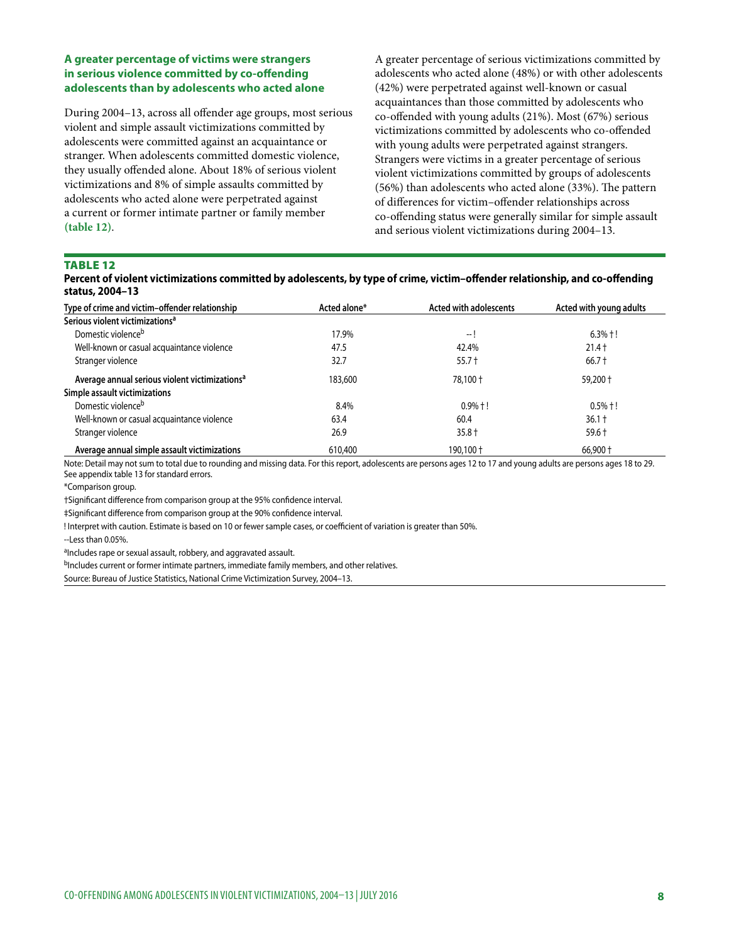# **A greater percentage of victims were strangers in serious violence committed by co-offending adolescents than by adolescents who acted alone**

During 2004–13, across all offender age groups, most serious violent and simple assault victimizations committed by adolescents were committed against an acquaintance or stranger. When adolescents committed domestic violence, they usually offended alone. About 18% of serious violent victimizations and 8% of simple assaults committed by adolescents who acted alone were perpetrated against a current or former intimate partner or family member **(table 12)**.

A greater percentage of serious victimizations committed by adolescents who acted alone (48%) or with other adolescents (42%) were perpetrated against well-known or casual acquaintances than those committed by adolescents who co-offended with young adults (21%). Most (67%) serious victimizations committed by adolescents who co-offended with young adults were perpetrated against strangers. Strangers were victims in a greater percentage of serious violent victimizations committed by groups of adolescents (56%) than adolescents who acted alone (33%). The pattern of differences for victim–offender relationships across co-offending status were generally similar for simple assault and serious violent victimizations during 2004–13.

## TABLE 12

| Percent of violent victimizations committed by adolescents, by type of crime, victim-offender relationship, and co-offending |  |
|------------------------------------------------------------------------------------------------------------------------------|--|
| status, 2004-13                                                                                                              |  |

| Type of crime and victim-offender relationship             | Acted alone* | Acted with adolescents | Acted with young adults |
|------------------------------------------------------------|--------------|------------------------|-------------------------|
| Serious violent victimizations <sup>a</sup>                |              |                        |                         |
| Domestic violence <sup>b</sup>                             | 17.9%        | -- I                   | $6.3\% + !$             |
| Well-known or casual acquaintance violence                 | 47.5         | 42.4%                  | $21.4 +$                |
| Stranger violence                                          | 32.7         | $55.7 +$               | $66.7 +$                |
| Average annual serious violent victimizations <sup>a</sup> | 183,600      | 78,100 +               | 59,200 +                |
| Simple assault victimizations                              |              |                        |                         |
| Domestic violence <sup>b</sup>                             | 8.4%         | $0.9% + !$             | $0.5% + !$              |
| Well-known or casual acquaintance violence                 | 63.4         | 60.4                   | $36.1 +$                |
| Stranger violence                                          | 26.9         | $35.8 +$               | $59.6 +$                |
| Average annual simple assault victimizations               | 610,400      | 190,100 +              | 66,900 +                |

Note: Detail may not sum to total due to rounding and missing data. For this report, adolescents are persons ages 12 to 17 and young adults are persons ages 18 to 29. See appendix table 13 for standard errors.

\*Comparison group.

†Significant difference from comparison group at the 95% confidence interval.

‡Significant difference from comparison group at the 90% confidence interval.

! Interpret with caution. Estimate is based on 10 or fewer sample cases, or coefficient of variation is greater than 50%.

--Less than 0.05%.

aIncludes rape or sexual assault, robbery, and aggravated assault.

bIncludes current or former intimate partners, immediate family members, and other relatives.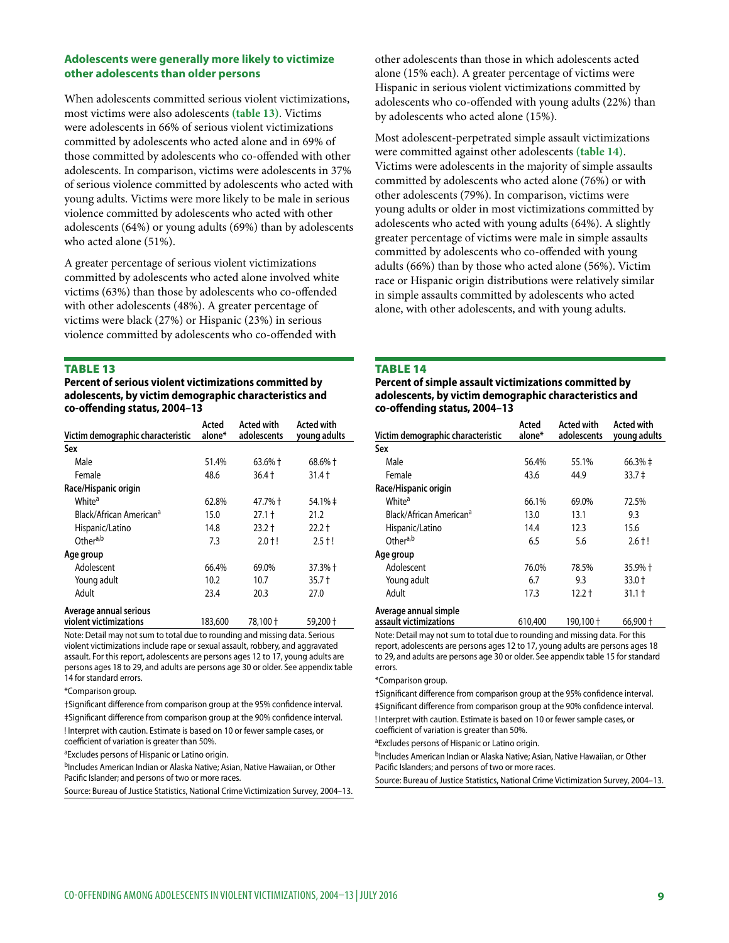## **Adolescents were generally more likely to victimize other adolescents than older persons**

When adolescents committed serious violent victimizations, most victims were also adolescents **(table 13)**. Victims were adolescents in 66% of serious violent victimizations committed by adolescents who acted alone and in 69% of those committed by adolescents who co-offended with other adolescents. In comparison, victims were adolescents in 37% of serious violence committed by adolescents who acted with young adults. Victims were more likely to be male in serious violence committed by adolescents who acted with other adolescents (64%) or young adults (69%) than by adolescents who acted alone (51%).

A greater percentage of serious violent victimizations committed by adolescents who acted alone involved white victims (63%) than those by adolescents who co-offended with other adolescents (48%). A greater percentage of victims were black (27%) or Hispanic (23%) in serious violence committed by adolescents who co-offended with

#### Table 13

**Percent of serious violent victimizations committed by adolescents, by victim demographic characteristics and co-offending status, 2004–13**

|                                     | Acted   | <b>Acted with</b> | <b>Acted with</b> |
|-------------------------------------|---------|-------------------|-------------------|
| Victim demographic characteristic   | alone*  | adolescents       | young adults      |
| Sex                                 |         |                   |                   |
| Male                                | 51.4%   | $63.6%$ †         | 68.6% +           |
| Female                              | 48.6    | $36.4 +$          | $31.4 +$          |
| Race/Hispanic origin                |         |                   |                   |
| White <sup>a</sup>                  | 62.8%   | 47.7% †           | 54.1% ‡           |
| Black/African American <sup>a</sup> | 15.0    | $27.1 +$          | 21.2              |
| Hispanic/Latino                     | 14.8    | $23.2 +$          | $22.2 +$          |
| Other <sup>a,b</sup>                | 7.3     | $2.0 + !$         | $2.5 + !$         |
| Age group                           |         |                   |                   |
| Adolescent                          | 66.4%   | 69.0%             | 37.3% +           |
| Young adult                         | 10.2    | 10.7              | $35.7 +$          |
| Adult                               | 23.4    | 20.3              | 27.0              |
| Average annual serious              |         |                   |                   |
| violent victimizations              | 183,600 | 78,100 +          | 59,200 +          |

Note: Detail may not sum to total due to rounding and missing data. Serious violent victimizations include rape or sexual assault, robbery, and aggravated assault. For this report, adolescents are persons ages 12 to 17, young adults are persons ages 18 to 29, and adults are persons age 30 or older. See appendix table 14 for standard errors.

\*Comparison group.

†Significant difference from comparison group at the 95% confidence interval.

‡Significant difference from comparison group at the 90% confidence interval. ! Interpret with caution. Estimate is based on 10 or fewer sample cases, or

coefficient of variation is greater than 50%.

<sup>a</sup>Excludes persons of Hispanic or Latino origin.

bIncludes American Indian or Alaska Native; Asian, Native Hawaiian, or Other Pacific Islander; and persons of two or more races.

Source: Bureau of Justice Statistics, National Crime Victimization Survey, 2004–13.

other adolescents than those in which adolescents acted alone (15% each). A greater percentage of victims were Hispanic in serious violent victimizations committed by adolescents who co-offended with young adults (22%) than by adolescents who acted alone (15%).

Most adolescent-perpetrated simple assault victimizations were committed against other adolescents **(table 14)**. Victims were adolescents in the majority of simple assaults committed by adolescents who acted alone (76%) or with other adolescents (79%). In comparison, victims were young adults or older in most victimizations committed by adolescents who acted with young adults (64%). A slightly greater percentage of victims were male in simple assaults committed by adolescents who co-offended with young adults (66%) than by those who acted alone (56%). Victim race or Hispanic origin distributions were relatively similar in simple assaults committed by adolescents who acted alone, with other adolescents, and with young adults.

#### **TABLE 14**

**Percent of simple assault victimizations committed by adolescents, by victim demographic characteristics and co-offending status, 2004–13**

| Victim demographic characteristic   | Acted<br>alone* | <b>Acted with</b><br>adolescents | <b>Acted with</b><br>young adults |
|-------------------------------------|-----------------|----------------------------------|-----------------------------------|
| Sex                                 |                 |                                  |                                   |
| Male                                | 56.4%           | 55.1%                            | $66.3% \pm$                       |
| Female                              | 43.6            | 44.9                             | 33.7 <sup>‡</sup>                 |
| Race/Hispanic origin                |                 |                                  |                                   |
| White <sup>a</sup>                  | 66.1%           | 69.0%                            | 72.5%                             |
| Black/African American <sup>a</sup> | 13.0            | 13.1                             | 9.3                               |
| Hispanic/Latino                     | 14.4            | 12.3                             | 15.6                              |
| Othera,b                            | 6.5             | 5.6                              | $2.6 + !$                         |
| Age group                           |                 |                                  |                                   |
| Adolescent                          | 76.0%           | 78.5%                            | 35.9% +                           |
| Young adult                         | 6.7             | 9.3                              | $33.0 +$                          |
| Adult                               | 17.3            | $12.2 +$                         | $31.1 +$                          |
| Average annual simple               |                 |                                  |                                   |

**assault victimizations** 610,400 190,100 † 66,900 †

Note: Detail may not sum to total due to rounding and missing data. For this report, adolescents are persons ages 12 to 17, young adults are persons ages 18 to 29, and adults are persons age 30 or older. See appendix table 15 for standard errors.

#### \*Comparison group.

†Significant difference from comparison group at the 95% confidence interval. ‡Significant difference from comparison group at the 90% confidence interval. ! Interpret with caution. Estimate is based on 10 or fewer sample cases, or coefficient of variation is greater than 50%.

aExcludes persons of Hispanic or Latino origin.

bIncludes American Indian or Alaska Native; Asian, Native Hawaiian, or Other Pacific Islanders; and persons of two or more races.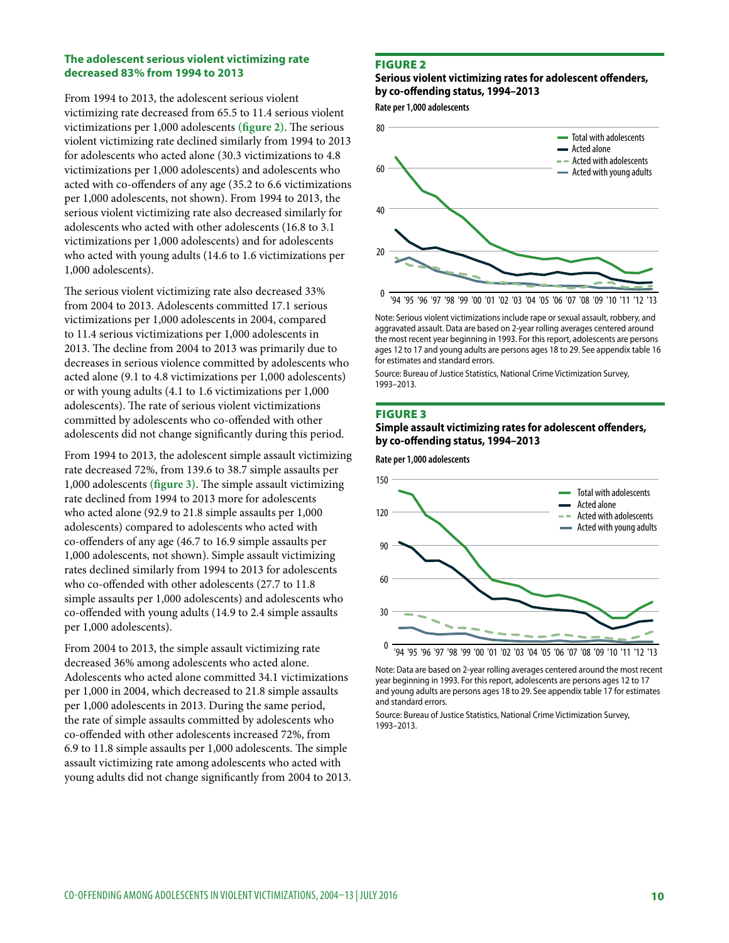#### **The adolescent serious violent victimizing rate decreased 83% from 1994 to 2013**

From 1994 to 2013, the adolescent serious violent victimizing rate decreased from 65.5 to 11.4 serious violent victimizations per 1,000 adolescents **(figure 2)**. The serious violent victimizing rate declined similarly from 1994 to 2013 for adolescents who acted alone (30.3 victimizations to 4.8 victimizations per 1,000 adolescents) and adolescents who acted with co-offenders of any age (35.2 to 6.6 victimizations per 1,000 adolescents, not shown). From 1994 to 2013, the serious violent victimizing rate also decreased similarly for adolescents who acted with other adolescents (16.8 to 3.1 victimizations per 1,000 adolescents) and for adolescents who acted with young adults (14.6 to 1.6 victimizations per 1,000 adolescents).

The serious violent victimizing rate also decreased 33% from 2004 to 2013. Adolescents committed 17.1 serious victimizations per 1,000 adolescents in 2004, compared to 11.4 serious victimizations per 1,000 adolescents in 2013. The decline from 2004 to 2013 was primarily due to decreases in serious violence committed by adolescents who acted alone (9.1 to 4.8 victimizations per 1,000 adolescents) or with young adults (4.1 to 1.6 victimizations per 1,000 adolescents). The rate of serious violent victimizations committed by adolescents who co-offended with other adolescents did not change significantly during this period.

From 1994 to 2013, the adolescent simple assault victimizing rate decreased 72%, from 139.6 to 38.7 simple assaults per 1,000 adolescents **(figure 3)**. The simple assault victimizing rate declined from 1994 to 2013 more for adolescents who acted alone (92.9 to 21.8 simple assaults per 1,000 adolescents) compared to adolescents who acted with co-offenders of any age (46.7 to 16.9 simple assaults per 1,000 adolescents, not shown). Simple assault victimizing rates declined similarly from 1994 to 2013 for adolescents who co-offended with other adolescents (27.7 to 11.8 simple assaults per 1,000 adolescents) and adolescents who co-offended with young adults (14.9 to 2.4 simple assaults per 1,000 adolescents).

From 2004 to 2013, the simple assault victimizing rate decreased 36% among adolescents who acted alone. Adolescents who acted alone committed 34.1 victimizations per 1,000 in 2004, which decreased to 21.8 simple assaults per 1,000 adolescents in 2013. During the same period, the rate of simple assaults committed by adolescents who co-offended with other adolescents increased 72%, from 6.9 to 11.8 simple assaults per 1,000 adolescents. The simple assault victimizing rate among adolescents who acted with young adults did not change significantly from 2004 to 2013.

#### Figure 2

**Serious violent victimizing rates for adolescent offenders, by co-offending status, 1994–2013**

**Rate per 1,000 adolescents**



Note: Serious violent victimizations include rape or sexual assault, robbery, and aggravated assault. Data are based on 2-year rolling averages centered around the most recent year beginning in 1993. For this report, adolescents are persons ages 12 to 17 and young adults are persons ages 18 to 29. See appendix table 16 for estimates and standard errors.

Source: Bureau of Justice Statistics, National Crime Victimization Survey, 1993–2013.

#### Figure 3

#### **Simple assault victimizing rates for adolescent offenders, by co-offending status, 1994–2013**

**Rate per 1,000 adolescents**



Note: Data are based on 2-year rolling averages centered around the most recent year beginning in 1993. For this report, adolescents are persons ages 12 to 17 and young adults are persons ages 18 to 29. See appendix table 17 for estimates and standard errors.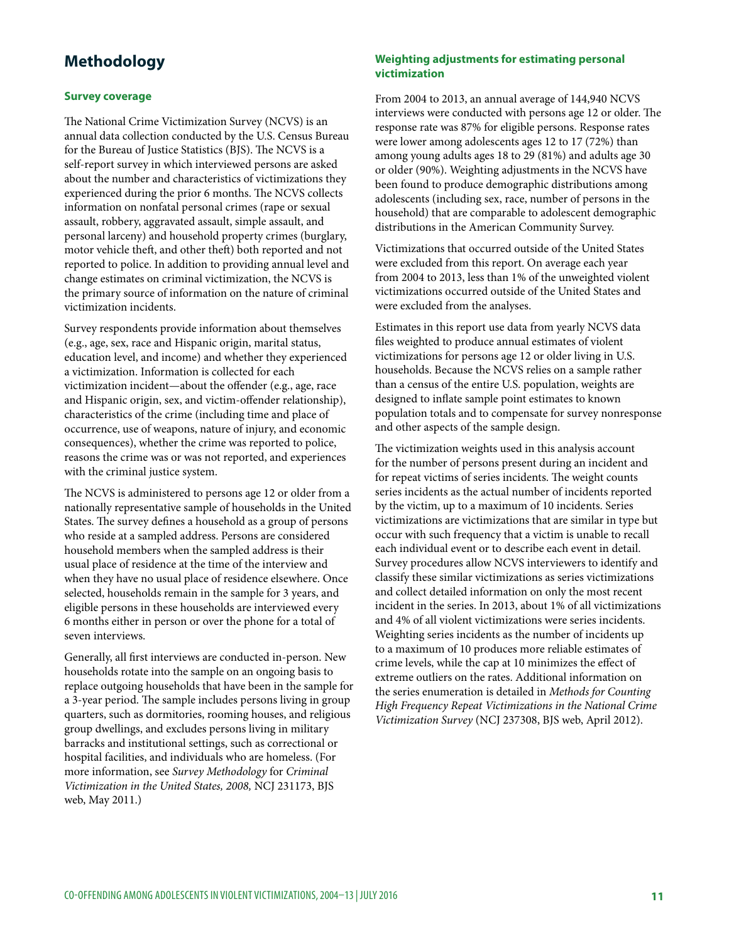# **Methodology**

## **Survey coverage**

The National Crime Victimization Survey (NCVS) is an annual data collection conducted by the U.S. Census Bureau for the Bureau of Justice Statistics (BJS). The NCVS is a self-report survey in which interviewed persons are asked about the number and characteristics of victimizations they experienced during the prior 6 months. The NCVS collects information on nonfatal personal crimes (rape or sexual assault, robbery, aggravated assault, simple assault, and personal larceny) and household property crimes (burglary, motor vehicle theft, and other theft) both reported and not reported to police. In addition to providing annual level and change estimates on criminal victimization, the NCVS is the primary source of information on the nature of criminal victimization incidents.

Survey respondents provide information about themselves (e.g., age, sex, race and Hispanic origin, marital status, education level, and income) and whether they experienced a victimization. Information is collected for each victimization incident—about the offender (e.g., age, race and Hispanic origin, sex, and victim-offender relationship), characteristics of the crime (including time and place of occurrence, use of weapons, nature of injury, and economic consequences), whether the crime was reported to police, reasons the crime was or was not reported, and experiences with the criminal justice system.

The NCVS is administered to persons age 12 or older from a nationally representative sample of households in the United States. The survey defines a household as a group of persons who reside at a sampled address. Persons are considered household members when the sampled address is their usual place of residence at the time of the interview and when they have no usual place of residence elsewhere. Once selected, households remain in the sample for 3 years, and eligible persons in these households are interviewed every 6 months either in person or over the phone for a total of seven interviews.

Generally, all first interviews are conducted in-person. New households rotate into the sample on an ongoing basis to replace outgoing households that have been in the sample for a 3-year period. The sample includes persons living in group quarters, such as dormitories, rooming houses, and religious group dwellings, and excludes persons living in military barracks and institutional settings, such as correctional or hospital facilities, and individuals who are homeless. (For more information, see *Survey Methodology* for *Criminal Victimization in the United States, 2008,* NCJ 231173, BJS web, May 2011.)

# **Weighting adjustments for estimating personal victimization**

From 2004 to 2013, an annual average of 144,940 NCVS interviews were conducted with persons age 12 or older. The response rate was 87% for eligible persons. Response rates were lower among adolescents ages 12 to 17 (72%) than among young adults ages 18 to 29 (81%) and adults age 30 or older (90%). Weighting adjustments in the NCVS have been found to produce demographic distributions among adolescents (including sex, race, number of persons in the household) that are comparable to adolescent demographic distributions in the American Community Survey.

Victimizations that occurred outside of the United States were excluded from this report. On average each year from 2004 to 2013, less than 1% of the unweighted violent victimizations occurred outside of the United States and were excluded from the analyses.

Estimates in this report use data from yearly NCVS data files weighted to produce annual estimates of violent victimizations for persons age 12 or older living in U.S. households. Because the NCVS relies on a sample rather than a census of the entire U.S. population, weights are designed to inflate sample point estimates to known population totals and to compensate for survey nonresponse and other aspects of the sample design.

The victimization weights used in this analysis account for the number of persons present during an incident and for repeat victims of series incidents. The weight counts series incidents as the actual number of incidents reported by the victim, up to a maximum of 10 incidents. Series victimizations are victimizations that are similar in type but occur with such frequency that a victim is unable to recall each individual event or to describe each event in detail. Survey procedures allow NCVS interviewers to identify and classify these similar victimizations as series victimizations and collect detailed information on only the most recent incident in the series. In 2013, about 1% of all victimizations and 4% of all violent victimizations were series incidents. Weighting series incidents as the number of incidents up to a maximum of 10 produces more reliable estimates of crime levels, while the cap at 10 minimizes the effect of extreme outliers on the rates. Additional information on the series enumeration is detailed in *Methods for Counting High Frequency Repeat Victimizations in the National Crime Victimization Survey* (NCJ 237308, BJS web, April 2012).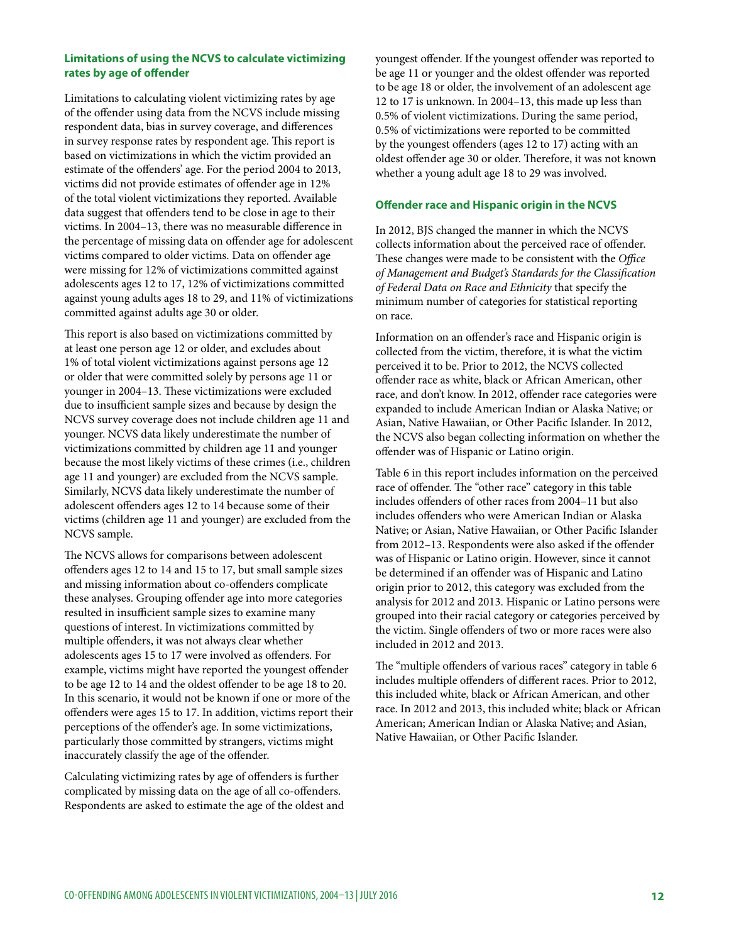# **Limitations of using the NCVS to calculate victimizing rates by age of offender**

Limitations to calculating violent victimizing rates by age of the offender using data from the NCVS include missing respondent data, bias in survey coverage, and differences in survey response rates by respondent age. This report is based on victimizations in which the victim provided an estimate of the offenders' age. For the period 2004 to 2013, victims did not provide estimates of offender age in 12% of the total violent victimizations they reported. Available data suggest that offenders tend to be close in age to their victims. In 2004–13, there was no measurable difference in the percentage of missing data on offender age for adolescent victims compared to older victims. Data on offender age were missing for 12% of victimizations committed against adolescents ages 12 to 17, 12% of victimizations committed against young adults ages 18 to 29, and 11% of victimizations committed against adults age 30 or older.

This report is also based on victimizations committed by at least one person age 12 or older, and excludes about 1% of total violent victimizations against persons age 12 or older that were committed solely by persons age 11 or younger in 2004–13. These victimizations were excluded due to insufficient sample sizes and because by design the NCVS survey coverage does not include children age 11 and younger. NCVS data likely underestimate the number of victimizations committed by children age 11 and younger because the most likely victims of these crimes (i.e., children age 11 and younger) are excluded from the NCVS sample. Similarly, NCVS data likely underestimate the number of adolescent offenders ages 12 to 14 because some of their victims (children age 11 and younger) are excluded from the NCVS sample.

The NCVS allows for comparisons between adolescent offenders ages 12 to 14 and 15 to 17, but small sample sizes and missing information about co-offenders complicate these analyses. Grouping offender age into more categories resulted in insufficient sample sizes to examine many questions of interest. In victimizations committed by multiple offenders, it was not always clear whether adolescents ages 15 to 17 were involved as offenders. For example, victims might have reported the youngest offender to be age 12 to 14 and the oldest offender to be age 18 to 20. In this scenario, it would not be known if one or more of the offenders were ages 15 to 17. In addition, victims report their perceptions of the offender's age. In some victimizations, particularly those committed by strangers, victims might inaccurately classify the age of the offender.

Calculating victimizing rates by age of offenders is further complicated by missing data on the age of all co-offenders. Respondents are asked to estimate the age of the oldest and youngest offender. If the youngest offender was reported to be age 11 or younger and the oldest offender was reported to be age 18 or older, the involvement of an adolescent age 12 to 17 is unknown. In 2004–13, this made up less than 0.5% of violent victimizations. During the same period, 0.5% of victimizations were reported to be committed by the youngest offenders (ages 12 to 17) acting with an oldest offender age 30 or older. Therefore, it was not known whether a young adult age 18 to 29 was involved.

# **Offender race and Hispanic origin in the NCVS**

In 2012, BJS changed the manner in which the NCVS collects information about the perceived race of offender. These changes were made to be consistent with the *Office of Management and Budget's Standards for the Classification of Federal Data on Race and Ethnicity* that specify the minimum number of categories for statistical reporting on race.

Information on an offender's race and Hispanic origin is collected from the victim, therefore, it is what the victim perceived it to be. Prior to 2012, the NCVS collected offender race as white, black or African American, other race, and don't know. In 2012, offender race categories were expanded to include American Indian or Alaska Native; or Asian, Native Hawaiian, or Other Pacific Islander. In 2012, the NCVS also began collecting information on whether the offender was of Hispanic or Latino origin.

Table 6 in this report includes information on the perceived race of offender. The "other race" category in this table includes offenders of other races from 2004–11 but also includes offenders who were American Indian or Alaska Native; or Asian, Native Hawaiian, or Other Pacific Islander from 2012–13. Respondents were also asked if the offender was of Hispanic or Latino origin. However, since it cannot be determined if an offender was of Hispanic and Latino origin prior to 2012, this category was excluded from the analysis for 2012 and 2013. Hispanic or Latino persons were grouped into their racial category or categories perceived by the victim. Single offenders of two or more races were also included in 2012 and 2013.

The "multiple offenders of various races" category in table 6 includes multiple offenders of different races. Prior to 2012, this included white, black or African American, and other race. In 2012 and 2013, this included white; black or African American; American Indian or Alaska Native; and Asian, Native Hawaiian, or Other Pacific Islander.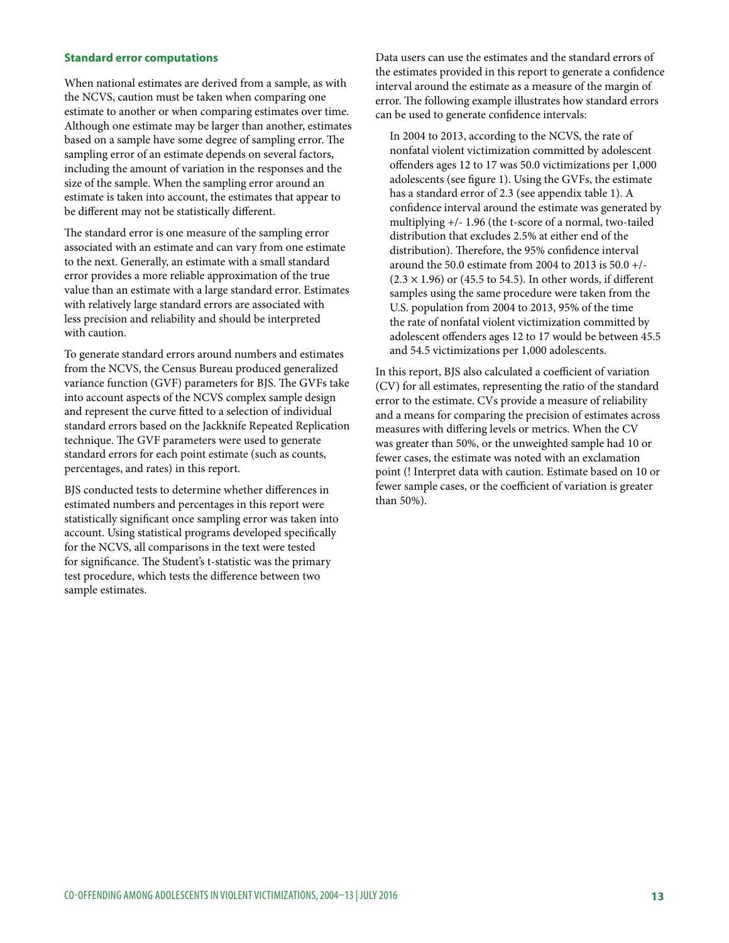## **Standard error computations**

When national estimates are derived from a sample, as with the NCVS, caution must be taken when comparing one estimate to another or when comparing estimates over time. Although one estimate may be larger than another, estimates based on a sample have some degree of sampling error. The sampling error of an estimate depends on several factors, including the amount of variation in the responses and the size of the sample. When the sampling error around an estimate is taken into account, the estimates that appear to be different may not be statistically different.

The standard error is one measure of the sampling error associated with an estimate and can vary from one estimate to the next. Generally, an estimate with a small standard error provides a more reliable approximation of the true value than an estimate with a large standard error. Estimates with relatively large standard errors are associated with less precision and reliability and should be interpreted with caution.

To generate standard errors around numbers and estimates from the NCVS, the Census Bureau produced generalized variance function (GVF) parameters for BJS. The GVFs take into account aspects of the NCVS complex sample design and represent the curve fitted to a selection of individual standard errors based on the Jackknife Repeated Replication technique. The GVF parameters were used to generate standard errors for each point estimate (such as counts, percentages, and rates) in this report.

BJS conducted tests to determine whether differences in estimated numbers and percentages in this report were statistically significant once sampling error was taken into account. Using statistical programs developed specifically for the NCVS, all comparisons in the text were tested for significance. The Student's t-statistic was the primary test procedure, which tests the difference between two sample estimates.

Data users can use the estimates and the standard errors of the estimates provided in this report to generate a confidence interval around the estimate as a measure of the margin of error. The following example illustrates how standard errors can be used to generate confidence intervals:

In 2004 to 2013, according to the NCVS, the rate of nonfatal violent victimization committed by adolescent offenders ages 12 to 17 was 50.0 victimizations per 1,000 adolescents (see figure 1). Using the GVFs, the estimate has a standard error of 2.3 (see appendix table 1). A confidence interval around the estimate was generated by multiplying +/- 1.96 (the t-score of a normal, two-tailed distribution that excludes 2.5% at either end of the distribution). Therefore, the 95% confidence interval around the 50.0 estimate from 2004 to 2013 is 50.0 +/- (2.3 *×* 1.96) or (45.5 to 54.5). In other words, if different samples using the same procedure were taken from the U.S. population from 2004 to 2013, 95% of the time the rate of nonfatal violent victimization committed by adolescent offenders ages 12 to 17 would be between 45.5 and 54.5 victimizations per 1,000 adolescents.

In this report, BJS also calculated a coefficient of variation (CV) for all estimates, representing the ratio of the standard error to the estimate. CVs provide a measure of reliability and a means for comparing the precision of estimates across measures with differing levels or metrics. When the CV was greater than 50%, or the unweighted sample had 10 or fewer cases, the estimate was noted with an exclamation point (! Interpret data with caution. Estimate based on 10 or fewer sample cases, or the coefficient of variation is greater than 50%).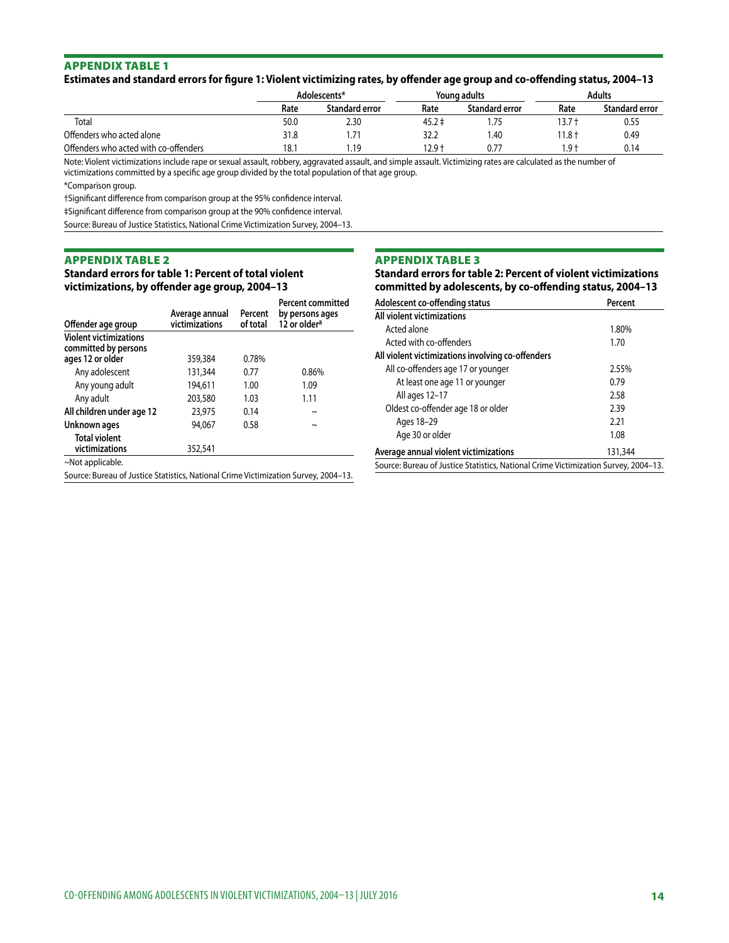## **Estimates and standard errors for figure 1: Violent victimizing rates, by offender age group and co-offending status, 2004–13**

|                                       |      | Adolescents*   |            | Youna adults          |          | Adults                |
|---------------------------------------|------|----------------|------------|-----------------------|----------|-----------------------|
|                                       | Rate | Standard error | Rate       | <b>Standard error</b> | Rate     | <b>Standard error</b> |
| Total                                 | 50.0 | 2.30           | $45.2 \pm$ |                       | 13.7 †   | 0.55                  |
| Offenders who acted alone             | 31.8 | 71<br>$\cdot$  | 32.2       | .40                   | $11.8 +$ | 0.49                  |
| Offenders who acted with co-offenders | 18.1 | . 19           | $12.9 +$   | 0.77                  | $Q +$    | 0.14                  |

Note: Violent victimizations include rape or sexual assault, robbery, aggravated assault, and simple assault. Victimizing rates are calculated as the number of victimizations committed by a specific age group divided by the total population of that age group.

\*Comparison group.

†Significant difference from comparison group at the 95% confidence interval.

‡Significant difference from comparison group at the 90% confidence interval.

Source: Bureau of Justice Statistics, National Crime Victimization Survey, 2004–13.

#### Appendix table 2

**Standard errors for table 1: Percent of total violent victimizations, by offender age group, 2004–13**

| Offender age group                                                                  | Average annual<br>victimizations | Percent<br>of total | <b>Percent committed</b><br>by persons ages<br>12 or older <sup>a</sup> |
|-------------------------------------------------------------------------------------|----------------------------------|---------------------|-------------------------------------------------------------------------|
| <b>Violent victimizations</b><br>committed by persons                               |                                  |                     |                                                                         |
| ages 12 or older                                                                    | 359,384                          | 0.78%               |                                                                         |
| Any adolescent                                                                      | 131,344                          | 0.77                | 0.86%                                                                   |
| Any young adult                                                                     | 194,611                          | 1.00                | 1.09                                                                    |
| Any adult                                                                           | 203,580                          | 1.03                | 1.11                                                                    |
| All children under age 12                                                           | 23,975                           | 0.14                | $\sim$                                                                  |
| Unknown ages                                                                        | 94.067                           | 0.58                | $\sim$                                                                  |
| <b>Total violent</b><br>victimizations                                              | 352,541                          |                     |                                                                         |
| ~Not applicable.                                                                    |                                  |                     |                                                                         |
| Source: Bureau of Justice Statistics, National Crime Victimization Survey, 2004–13. |                                  |                     |                                                                         |

#### Appendix table 3

**Standard errors for table 2: Percent of violent victimizations committed by adolescents, by co-offending status, 2004–13**

| Adolescent co-offending status                                                      | Percent |
|-------------------------------------------------------------------------------------|---------|
| All violent victimizations                                                          |         |
| Acted alone                                                                         | 1.80%   |
| Acted with co-offenders                                                             | 1.70    |
| All violent victimizations involving co-offenders                                   |         |
| All co-offenders age 17 or younger                                                  | 2.55%   |
| At least one age 11 or younger                                                      | 0.79    |
| All ages 12-17                                                                      | 2.58    |
| Oldest co-offender age 18 or older                                                  | 2.39    |
| Ages 18-29                                                                          | 2.21    |
| Age 30 or older                                                                     | 1.08    |
| Average annual violent victimizations                                               | 131,344 |
| Source: Bureau of Justice Statistics, National Crime Victimization Survey, 2004–13. |         |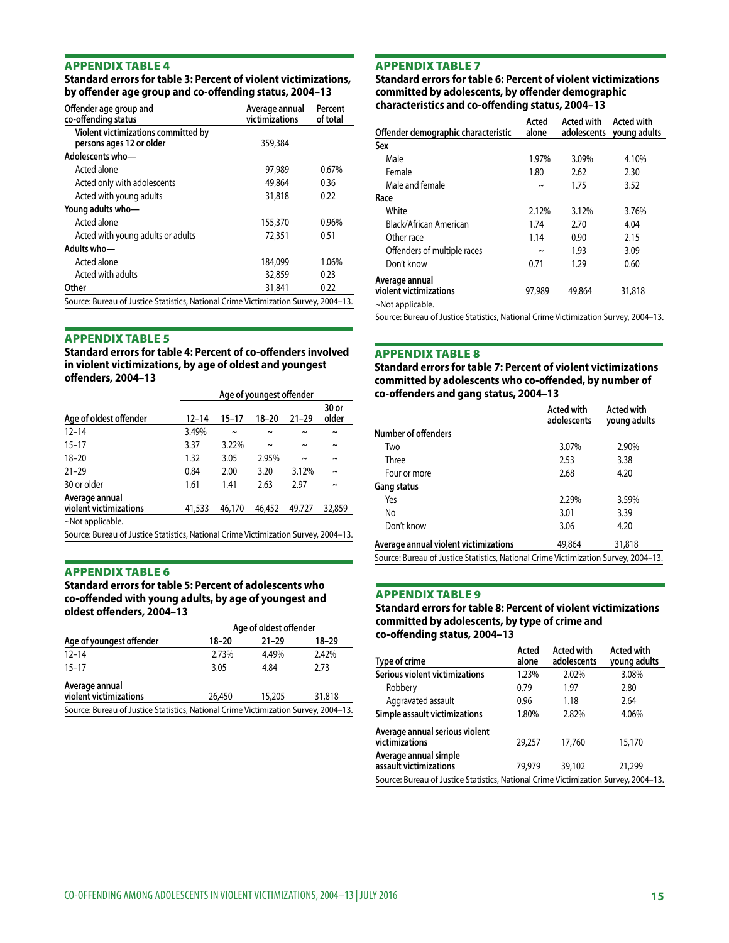#### **Standard errors for table 3: Percent of violent victimizations, by offender age group and co-offending status, 2004–13**

| Offender age group and<br>co-offending status                                       | Average annual<br>victimizations | Percent<br>of total |
|-------------------------------------------------------------------------------------|----------------------------------|---------------------|
| Violent victimizations committed by<br>persons ages 12 or older                     | 359,384                          |                     |
| Adolescents who-                                                                    |                                  |                     |
| Acted alone                                                                         | 97,989                           | 0.67%               |
| Acted only with adolescents                                                         | 49,864                           | 0.36                |
| Acted with young adults                                                             | 31,818                           | 0.22                |
| Young adults who-                                                                   |                                  |                     |
| Acted alone                                                                         | 155,370                          | 0.96%               |
| Acted with young adults or adults                                                   | 72,351                           | 0.51                |
| Adults who-                                                                         |                                  |                     |
| Acted alone                                                                         | 184,099                          | 1.06%               |
| Acted with adults                                                                   | 32,859                           | 0.23                |
| Other                                                                               | 31,841                           | 0.22                |
| Source: Bureau of Justice Statistics, National Crime Victimization Survey, 2004-13. |                                  |                     |

#### Appendix table 5

**Standard errors for table 4: Percent of co-offenders involved in violent victimizations, by age of oldest and youngest offenders, 2004–13**

|                                                                                     |           | Age of youngest offender |        |           |                       |  |
|-------------------------------------------------------------------------------------|-----------|--------------------------|--------|-----------|-----------------------|--|
| Age of oldest offender                                                              | $12 - 14$ | $15 - 17$                | 18-20  | $21 - 29$ | 30 or<br>older        |  |
| $12 - 14$                                                                           | 3.49%     | $\sim$                   | $\sim$ | $\sim$    | $\sim$                |  |
| $15 - 17$                                                                           | 3.37      | 3.22%                    | $\sim$ | $\sim$    | $\tilde{\phantom{a}}$ |  |
| $18 - 20$                                                                           | 1.32      | 3.05                     | 2.95%  | $\sim$    | $\sim$                |  |
| $21 - 29$                                                                           | 0.84      | 2.00                     | 3.20   | 3.12%     | $\sim$                |  |
| 30 or older                                                                         | 1.61      | 1.41                     | 2.63   | 2.97      | $\sim$                |  |
| Average annual<br>violent victimizations                                            | 41,533    | 46,170                   | 46,452 | 49.727    | 32,859                |  |
| $\sim$ Not applicable.                                                              |           |                          |        |           |                       |  |
| Source: Bureau of Justice Statistics, National Crime Victimization Survey, 2004–13. |           |                          |        |           |                       |  |

#### Appendix table 6

**Standard errors for table 5: Percent of adolescents who co-offended with young adults, by age of youngest and oldest offenders, 2004–13**

| Age of youngest offender                                                            | Age of oldest offender |           |        |  |
|-------------------------------------------------------------------------------------|------------------------|-----------|--------|--|
|                                                                                     | $18 - 20$              | $21 - 29$ | 18-29  |  |
| $12 - 14$                                                                           | 2.73%                  | 4.49%     | 2.42%  |  |
| $15 - 17$                                                                           | 3.05                   | 4.84      | 2.73   |  |
| Average annual<br>violent victimizations                                            | 26,450                 | 15,205    | 31,818 |  |
| Source: Bureau of Justice Statistics, National Crime Victimization Survey, 2004-13. |                        |           |        |  |

#### Appendix table 7

**Standard errors for table 6: Percent of violent victimizations committed by adolescents, by offender demographic characteristics and co-offending status, 2004–13**

| Offender demographic characteristic      | Acted<br>alone | Acted with | Acted with<br>adolescents young adults |
|------------------------------------------|----------------|------------|----------------------------------------|
| Sex                                      |                |            |                                        |
| Male                                     | 1.97%          | 3.09%      | 4.10%                                  |
| Female                                   | 1.80           | 2.62       | 2.30                                   |
| Male and female                          | $\sim$         | 1.75       | 3.52                                   |
| Race                                     |                |            |                                        |
| White                                    | 2.12%          | 3.12%      | 3.76%                                  |
| Black/African American                   | 1.74           | 2.70       | 4.04                                   |
| Other race                               | 1.14           | 0.90       | 2.15                                   |
| Offenders of multiple races              | $\sim$         | 1.93       | 3.09                                   |
| Don't know                               | 0.71           | 1.29       | 0.60                                   |
| Average annual<br>violent victimizations | 97,989         | 49,864     | 31,818                                 |
| ~Not applicable.                         |                |            |                                        |

Source: Bureau of Justice Statistics, National Crime Victimization Survey, 2004–13.

#### Appendix table 8

**Standard errors for table 7: Percent of violent victimizations committed by adolescents who co-offended, by number of co-offenders and gang status, 2004–13**

|                                                                                     | Acted with<br>adolescents | <b>Acted with</b><br>young adults |
|-------------------------------------------------------------------------------------|---------------------------|-----------------------------------|
| Number of offenders                                                                 |                           |                                   |
| Two                                                                                 | 3.07%                     | 2.90%                             |
| Three                                                                               | 2.53                      | 3.38                              |
| Four or more                                                                        | 2.68                      | 4.20                              |
| <b>Gang status</b>                                                                  |                           |                                   |
| Yes                                                                                 | 2.29%                     | 3.59%                             |
| No                                                                                  | 3.01                      | 3.39                              |
| Don't know                                                                          | 3.06                      | 4.20                              |
| Average annual violent victimizations                                               | 49,864                    | 31,818                            |
| Source: Bureau of Justice Statistics, National Crime Victimization Survey, 2004-13. |                           |                                   |

Appendix table 9

## **Standard errors for table 8: Percent of violent victimizations committed by adolescents, by type of crime and co-offending status, 2004–13**

| Type of crime                                                                       | Acted<br>alone | <b>Acted with</b><br>adolescents | <b>Acted with</b><br>young adults |
|-------------------------------------------------------------------------------------|----------------|----------------------------------|-----------------------------------|
| Serious violent victimizations                                                      | 1.23%          | 2.02%                            | 3.08%                             |
| Robbery                                                                             | 0.79           | 1.97                             | 2.80                              |
| Aggravated assault                                                                  | 0.96           | 1.18                             | 2.64                              |
| Simple assault victimizations                                                       | 1.80%          | 2.82%                            | 4.06%                             |
| Average annual serious violent<br>victimizations                                    | 29,257         | 17,760                           | 15,170                            |
| Average annual simple<br>assault victimizations                                     | 79.979         | 39,102                           | 21,299                            |
| Source: Bureau of Justice Statistics, National Crime Victimization Survey, 2004–13. |                |                                  |                                   |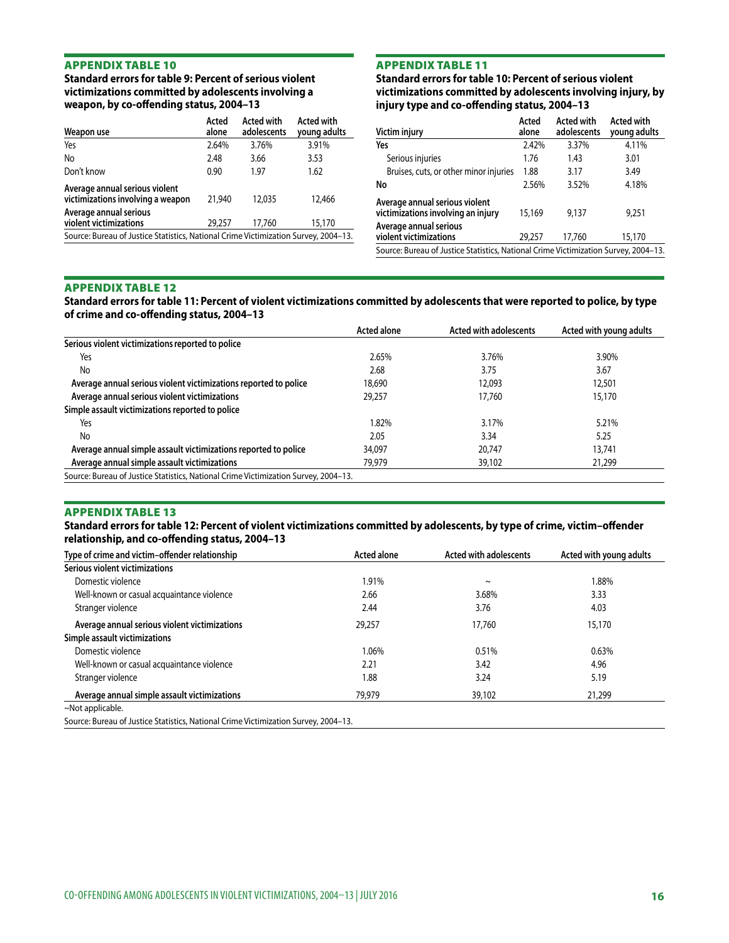**Standard errors for table 9: Percent of serious violent victimizations committed by adolescents involving a weapon, by co-offending status, 2004–13**

| Weapon use                                                                          | Acted<br>alone | <b>Acted with</b><br>adolescents | Acted with<br>young adults |
|-------------------------------------------------------------------------------------|----------------|----------------------------------|----------------------------|
| Yes                                                                                 | 2.64%          | 3.76%                            | 3.91%                      |
| No                                                                                  | 2.48           | 3.66                             | 3.53                       |
| Don't know                                                                          | 0.90           | 1.97                             | 1.62                       |
| Average annual serious violent<br>victimizations involving a weapon                 | 21,940         | 12,035                           | 12,466                     |
| Average annual serious<br>violent victimizations                                    | 29,257         | 17,760                           | 15,170                     |
| Source: Bureau of Justice Statistics, National Crime Victimization Survey, 2004–13. |                |                                  |                            |
|                                                                                     |                |                                  |                            |

# Appendix table 11

**Standard errors for table 10: Percent of serious violent victimizations committed by adolescents involving injury, by injury type and co-offending status, 2004–13**

| Victim injury                                                                       | Acted<br>alone | <b>Acted with</b><br>adolescents | <b>Acted with</b><br>young adults |
|-------------------------------------------------------------------------------------|----------------|----------------------------------|-----------------------------------|
| Yes                                                                                 | 2.42%          | 3.37%                            | 4.11%                             |
| Serious injuries                                                                    | 1.76           | 1.43                             | 3.01                              |
| Bruises, cuts, or other minor injuries                                              | 1.88           | 3.17                             | 3.49                              |
| No                                                                                  | 2.56%          | 3.52%                            | 4.18%                             |
| Average annual serious violent<br>victimizations involving an injury                | 15,169         | 9,137                            | 9,251                             |
| Average annual serious<br>violent victimizations                                    | 29,257         | 17.760                           | 15,170                            |
| Source: Bureau of Justice Statistics, National Crime Victimization Survey, 2004–13. |                |                                  |                                   |

#### Appendix table 12

**Standard errors for table 11: Percent of violent victimizations committed by adolescents that were reported to police, by type of crime and co-offending status, 2004–13**

|                                                                                     | <b>Acted alone</b> | Acted with adolescents | Acted with young adults |
|-------------------------------------------------------------------------------------|--------------------|------------------------|-------------------------|
| Serious violent victimizations reported to police                                   |                    |                        |                         |
| Yes                                                                                 | 2.65%              | 3.76%                  | 3.90%                   |
| No                                                                                  | 2.68               | 3.75                   | 3.67                    |
| Average annual serious violent victimizations reported to police                    | 18,690             | 12,093                 | 12,501                  |
| Average annual serious violent victimizations                                       | 29,257             | 17,760                 | 15,170                  |
| Simple assault victimizations reported to police                                    |                    |                        |                         |
| Yes                                                                                 | .82%               | 3.17%                  | 5.21%                   |
| No                                                                                  | 2.05               | 3.34                   | 5.25                    |
| Average annual simple assault victimizations reported to police                     | 34,097             | 20.747                 | 13,741                  |
| Average annual simple assault victimizations                                        | 79,979             | 39,102                 | 21,299                  |
| Source: Bureau of Justice Statistics, National Crime Victimization Survey, 2004-13. |                    |                        |                         |

#### Appendix table 13

**Standard errors for table 12: Percent of violent victimizations committed by adolescents, by type of crime, victim–offender relationship, and co-offending status, 2004–13**

| Type of crime and victim-offender relationship | <b>Acted alone</b> | <b>Acted with adolescents</b> | Acted with young adults |
|------------------------------------------------|--------------------|-------------------------------|-------------------------|
| Serious violent victimizations                 |                    |                               |                         |
| Domestic violence                              | 1.91%              | $\tilde{}$                    | 1.88%                   |
| Well-known or casual acquaintance violence     | 2.66               | 3.68%                         | 3.33                    |
| Stranger violence                              | 2.44               | 3.76                          | 4.03                    |
| Average annual serious violent victimizations  | 29,257             | 17,760                        | 15,170                  |
| Simple assault victimizations                  |                    |                               |                         |
| Domestic violence                              | 1.06%              | 0.51%                         | 0.63%                   |
| Well-known or casual acquaintance violence     | 2.21               | 3.42                          | 4.96                    |
| Stranger violence                              | 1.88               | 3.24                          | 5.19                    |
| Average annual simple assault victimizations   | 79,979             | 39,102                        | 21,299                  |
| ~Not applicable.                               |                    |                               |                         |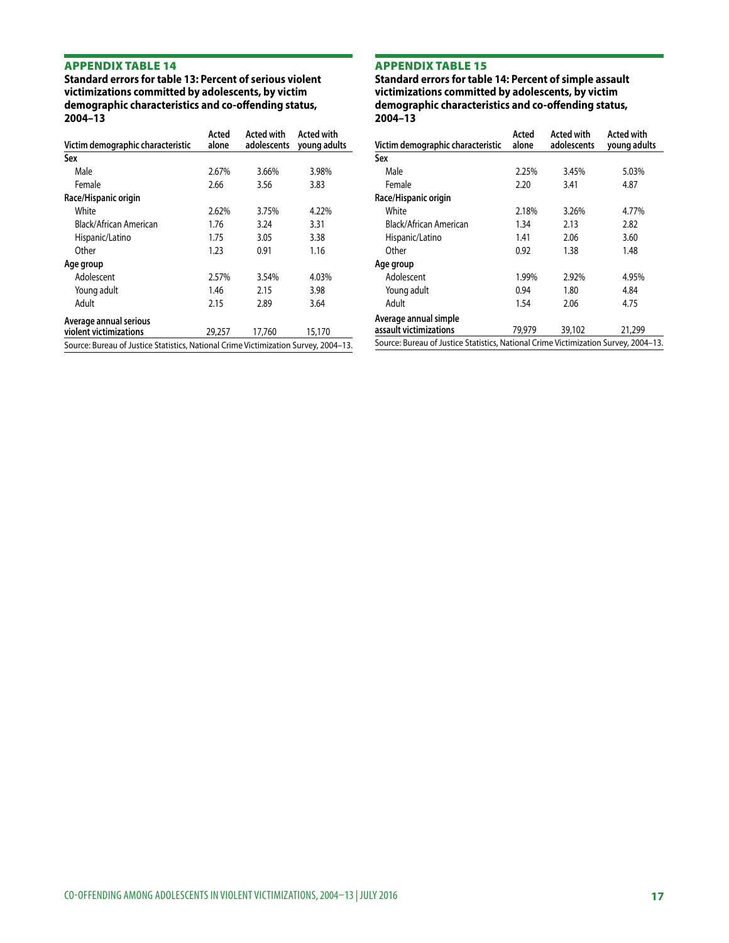**Standard errors for table 13: Percent of serious violent victimizations committed by adolescents, by victim demographic characteristics and co-offending status, 2004–13**

|                                                                                     | Acted  | <b>Acted with</b> | Acted with   |
|-------------------------------------------------------------------------------------|--------|-------------------|--------------|
| Victim demographic characteristic                                                   | alone  | adolescents       | young adults |
| Sex                                                                                 |        |                   |              |
| Male                                                                                | 2.67%  | 3.66%             | 3.98%        |
| Female                                                                              | 2.66   | 3.56              | 3.83         |
| Race/Hispanic origin                                                                |        |                   |              |
| White                                                                               | 2.62%  | 3.75%             | 4.22%        |
| Black/African American                                                              | 1.76   | 3.24              | 3.31         |
| Hispanic/Latino                                                                     | 1.75   | 3.05              | 3.38         |
| Other                                                                               | 1.23   | 0.91              | 1.16         |
| Age group                                                                           |        |                   |              |
| Adolescent                                                                          | 2.57%  | 3.54%             | 4.03%        |
| Young adult                                                                         | 1.46   | 2.15              | 3.98         |
| Adult                                                                               | 2.15   | 2.89              | 3.64         |
| Average annual serious                                                              |        |                   |              |
| violent victimizations                                                              | 29,257 | 17,760            | 15,170       |
| Source: Bureau of Justice Statistics, National Crime Victimization Survey, 2004-13. |        |                   |              |

# Appendix table 15

**Standard errors for table 14: Percent of simple assault victimizations committed by adolescents, by victim demographic characteristics and co-offending status, 2004–13**

| Victim demographic characteristic               | Acted<br>alone                                                                      | <b>Acted with</b><br>adolescents | Acted with<br>young adults |  |  |  |  |
|-------------------------------------------------|-------------------------------------------------------------------------------------|----------------------------------|----------------------------|--|--|--|--|
| Sex                                             |                                                                                     |                                  |                            |  |  |  |  |
| Male                                            | 2.25%                                                                               | 3.45%                            | 5.03%                      |  |  |  |  |
| Female                                          | 2.20                                                                                | 3.41                             | 4.87                       |  |  |  |  |
| Race/Hispanic origin                            |                                                                                     |                                  |                            |  |  |  |  |
| White                                           | 2.18%                                                                               | 3.26%                            | 4.77%                      |  |  |  |  |
| Black/African American                          | 1.34                                                                                | 2.13                             | 2.82                       |  |  |  |  |
| Hispanic/Latino                                 | 1.41                                                                                | 2.06                             | 3.60                       |  |  |  |  |
| Other                                           | 0.92                                                                                | 1.38                             | 1.48                       |  |  |  |  |
| Age group                                       |                                                                                     |                                  |                            |  |  |  |  |
| Adolescent                                      | 1.99%                                                                               | 2.92%                            | 4.95%                      |  |  |  |  |
| Young adult                                     | 0.94                                                                                | 1.80                             | 4.84                       |  |  |  |  |
| Adult                                           | 1.54                                                                                | 2.06                             | 4.75                       |  |  |  |  |
| Average annual simple<br>assault victimizations | 79,979                                                                              | 39,102                           | 21,299                     |  |  |  |  |
|                                                 | Source: Bureau of Justice Statistics, National Crime Victimization Survey, 2004-13. |                                  |                            |  |  |  |  |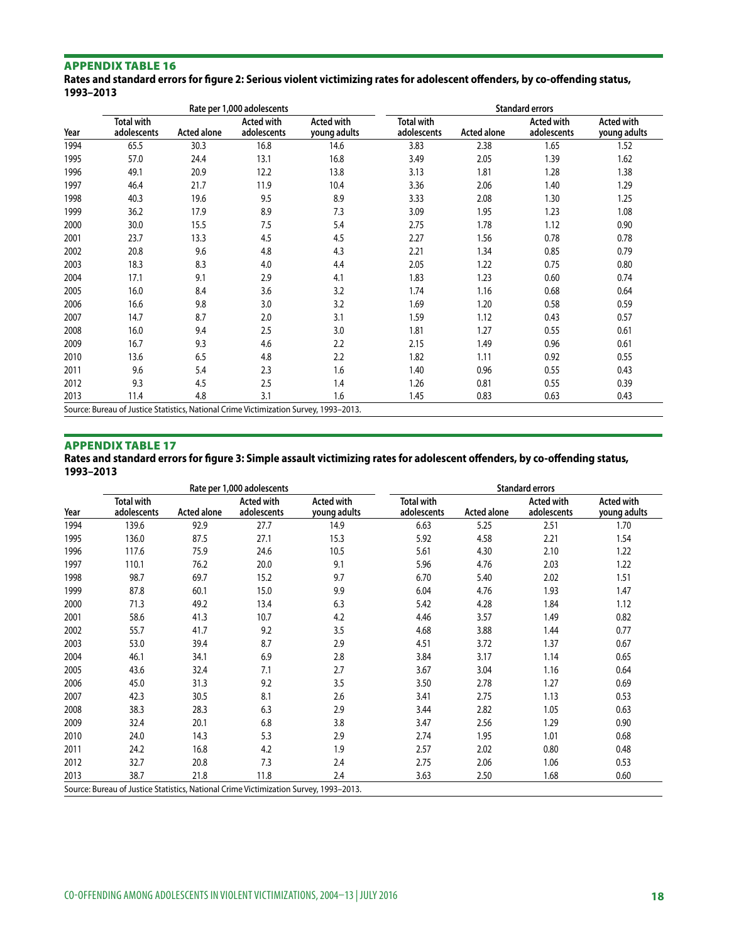**Rates and standard errors for figure 2: Serious violent victimizing rates for adolescent offenders, by co-offending status, 1993–2013**

|      | Rate per 1,000 adolescents                                                            |                    |                                  |                                   | <b>Standard errors</b>           |                    |                                  |                            |  |  |  |
|------|---------------------------------------------------------------------------------------|--------------------|----------------------------------|-----------------------------------|----------------------------------|--------------------|----------------------------------|----------------------------|--|--|--|
| Year | <b>Total with</b><br>adolescents                                                      | <b>Acted alone</b> | <b>Acted with</b><br>adolescents | <b>Acted with</b><br>young adults | <b>Total with</b><br>adolescents | <b>Acted alone</b> | <b>Acted with</b><br>adolescents | Acted with<br>young adults |  |  |  |
| 1994 | 65.5                                                                                  | 30.3               | 16.8                             | 14.6                              | 3.83                             | 2.38               | 1.65                             | 1.52                       |  |  |  |
| 1995 | 57.0                                                                                  | 24.4               | 13.1                             | 16.8                              | 3.49                             | 2.05               | 1.39                             | 1.62                       |  |  |  |
| 1996 | 49.1                                                                                  | 20.9               | 12.2                             | 13.8                              | 3.13                             | 1.81               | 1.28                             | 1.38                       |  |  |  |
| 1997 | 46.4                                                                                  | 21.7               | 11.9                             | 10.4                              | 3.36                             | 2.06               | 1.40                             | 1.29                       |  |  |  |
| 1998 | 40.3                                                                                  | 19.6               | 9.5                              | 8.9                               | 3.33                             | 2.08               | 1.30                             | 1.25                       |  |  |  |
| 1999 | 36.2                                                                                  | 17.9               | 8.9                              | 7.3                               | 3.09                             | 1.95               | 1.23                             | 1.08                       |  |  |  |
| 2000 | 30.0                                                                                  | 15.5               | 7.5                              | 5.4                               | 2.75                             | 1.78               | 1.12                             | 0.90                       |  |  |  |
| 2001 | 23.7                                                                                  | 13.3               | 4.5                              | 4.5                               | 2.27                             | 1.56               | 0.78                             | 0.78                       |  |  |  |
| 2002 | 20.8                                                                                  | 9.6                | 4.8                              | 4.3                               | 2.21                             | 1.34               | 0.85                             | 0.79                       |  |  |  |
| 2003 | 18.3                                                                                  | 8.3                | 4.0                              | 4.4                               | 2.05                             | 1.22               | 0.75                             | 0.80                       |  |  |  |
| 2004 | 17.1                                                                                  | 9.1                | 2.9                              | 4.1                               | 1.83                             | 1.23               | 0.60                             | 0.74                       |  |  |  |
| 2005 | 16.0                                                                                  | 8.4                | 3.6                              | 3.2                               | 1.74                             | 1.16               | 0.68                             | 0.64                       |  |  |  |
| 2006 | 16.6                                                                                  | 9.8                | 3.0                              | 3.2                               | 1.69                             | 1.20               | 0.58                             | 0.59                       |  |  |  |
| 2007 | 14.7                                                                                  | 8.7                | 2.0                              | 3.1                               | 1.59                             | 1.12               | 0.43                             | 0.57                       |  |  |  |
| 2008 | 16.0                                                                                  | 9.4                | 2.5                              | 3.0                               | 1.81                             | 1.27               | 0.55                             | 0.61                       |  |  |  |
| 2009 | 16.7                                                                                  | 9.3                | 4.6                              | 2.2                               | 2.15                             | 1.49               | 0.96                             | 0.61                       |  |  |  |
| 2010 | 13.6                                                                                  | 6.5                | 4.8                              | 2.2                               | 1.82                             | 1.11               | 0.92                             | 0.55                       |  |  |  |
| 2011 | 9.6                                                                                   | 5.4                | 2.3                              | 1.6                               | 1.40                             | 0.96               | 0.55                             | 0.43                       |  |  |  |
| 2012 | 9.3                                                                                   | 4.5                | 2.5                              | 1.4                               | 1.26                             | 0.81               | 0.55                             | 0.39                       |  |  |  |
| 2013 | 11.4                                                                                  | 4.8                | 3.1                              | 1.6                               | 1.45                             | 0.83               | 0.63                             | 0.43                       |  |  |  |
|      | Source: Bureau of Justice Statistics, National Crime Victimization Survey, 1993-2013. |                    |                                  |                                   |                                  |                    |                                  |                            |  |  |  |

# Appendix table 17

**Rates and standard errors for figure 3: Simple assault victimizing rates for adolescent offenders, by co-offending status, 1993–2013**

|      | Rate per 1,000 adolescents                                                            |                    |                                  |                                   | <b>Standard errors</b>           |             |                                  |                                   |
|------|---------------------------------------------------------------------------------------|--------------------|----------------------------------|-----------------------------------|----------------------------------|-------------|----------------------------------|-----------------------------------|
| Year | <b>Total with</b><br>adolescents                                                      | <b>Acted alone</b> | <b>Acted with</b><br>adolescents | <b>Acted with</b><br>young adults | <b>Total with</b><br>adolescents | Acted alone | <b>Acted with</b><br>adolescents | <b>Acted with</b><br>young adults |
| 1994 | 139.6                                                                                 | 92.9               | 27.7                             | 14.9                              | 6.63                             | 5.25        | 2.51                             | 1.70                              |
| 1995 | 136.0                                                                                 | 87.5               | 27.1                             | 15.3                              | 5.92                             | 4.58        | 2.21                             | 1.54                              |
| 1996 | 117.6                                                                                 | 75.9               | 24.6                             | 10.5                              | 5.61                             | 4.30        | 2.10                             | 1.22                              |
| 1997 | 110.1                                                                                 | 76.2               | 20.0                             | 9.1                               | 5.96                             | 4.76        | 2.03                             | 1.22                              |
| 1998 | 98.7                                                                                  | 69.7               | 15.2                             | 9.7                               | 6.70                             | 5.40        | 2.02                             | 1.51                              |
| 1999 | 87.8                                                                                  | 60.1               | 15.0                             | 9.9                               | 6.04                             | 4.76        | 1.93                             | 1.47                              |
| 2000 | 71.3                                                                                  | 49.2               | 13.4                             | 6.3                               | 5.42                             | 4.28        | 1.84                             | 1.12                              |
| 2001 | 58.6                                                                                  | 41.3               | 10.7                             | 4.2                               | 4.46                             | 3.57        | 1.49                             | 0.82                              |
| 2002 | 55.7                                                                                  | 41.7               | 9.2                              | 3.5                               | 4.68                             | 3.88        | 1.44                             | 0.77                              |
| 2003 | 53.0                                                                                  | 39.4               | 8.7                              | 2.9                               | 4.51                             | 3.72        | 1.37                             | 0.67                              |
| 2004 | 46.1                                                                                  | 34.1               | 6.9                              | 2.8                               | 3.84                             | 3.17        | 1.14                             | 0.65                              |
| 2005 | 43.6                                                                                  | 32.4               | 7.1                              | 2.7                               | 3.67                             | 3.04        | 1.16                             | 0.64                              |
| 2006 | 45.0                                                                                  | 31.3               | 9.2                              | 3.5                               | 3.50                             | 2.78        | 1.27                             | 0.69                              |
| 2007 | 42.3                                                                                  | 30.5               | 8.1                              | 2.6                               | 3.41                             | 2.75        | 1.13                             | 0.53                              |
| 2008 | 38.3                                                                                  | 28.3               | 6.3                              | 2.9                               | 3.44                             | 2.82        | 1.05                             | 0.63                              |
| 2009 | 32.4                                                                                  | 20.1               | 6.8                              | 3.8                               | 3.47                             | 2.56        | 1.29                             | 0.90                              |
| 2010 | 24.0                                                                                  | 14.3               | 5.3                              | 2.9                               | 2.74                             | 1.95        | 1.01                             | 0.68                              |
| 2011 | 24.2                                                                                  | 16.8               | 4.2                              | 1.9                               | 2.57                             | 2.02        | 0.80                             | 0.48                              |
| 2012 | 32.7                                                                                  | 20.8               | 7.3                              | 2.4                               | 2.75                             | 2.06        | 1.06                             | 0.53                              |
| 2013 | 38.7                                                                                  | 21.8               | 11.8                             | 2.4                               | 3.63                             | 2.50        | 1.68                             | 0.60                              |
|      | Source: Bureau of Justice Statistics, National Crime Victimization Survey, 1993-2013. |                    |                                  |                                   |                                  |             |                                  |                                   |